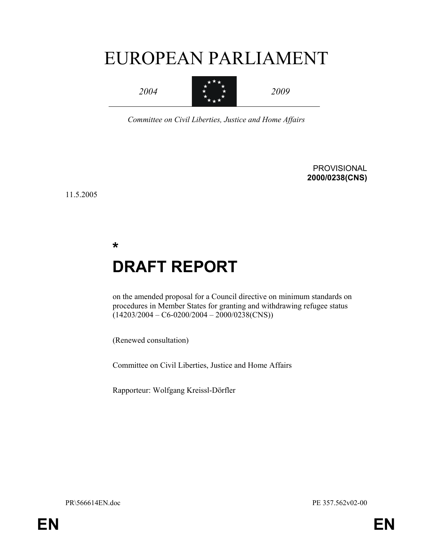# EUROPEAN PARLIAMENT

*2004* 



*2009* 

*Committee on Civil Liberties, Justice and Home Affairs* 

PROVISIONAL **2000/0238(CNS)** 

11.5.2005

**\*** 

# **DRAFT REPORT**

on the amended proposal for a Council directive on minimum standards on procedures in Member States for granting and withdrawing refugee status  $(14203/2004 - C6 - 0200/2004 - 2000/0238(CNS))$ 

(Renewed consultation)

Committee on Civil Liberties, Justice and Home Affairs

Rapporteur: Wolfgang Kreissl-Dörfler

PR\566614EN.doc PE 357.562v02-00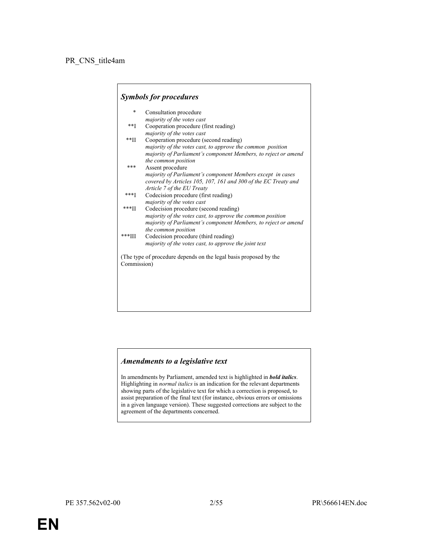#### *Symbols for procedures*

| *           | Consultation procedure                                            |
|-------------|-------------------------------------------------------------------|
|             | majority of the votes cast                                        |
| **⊺         | Cooperation procedure (first reading)                             |
|             | majority of the votes cast                                        |
| **∏         | Cooperation procedure (second reading)                            |
|             | majority of the votes cast, to approve the common position        |
|             | majority of Parliament's component Members, to reject or amend    |
|             | the common position                                               |
| ***         | Assent procedure                                                  |
|             | majority of Parliament's component Members except in cases        |
|             | covered by Articles 105, 107, 161 and 300 of the EC Treaty and    |
|             | Article 7 of the EU Treaty                                        |
| ***T        | Codecision procedure (first reading)                              |
|             | majority of the votes cast                                        |
| ***II       | Codecision procedure (second reading)                             |
|             | majority of the votes cast, to approve the common position        |
|             | majority of Parliament's component Members, to reject or amend    |
|             | the common position                                               |
| ***III      | Codecision procedure (third reading)                              |
|             | majority of the votes cast, to approve the joint text             |
|             | (The type of procedure depends on the legal basis proposed by the |
| Commission) |                                                                   |
|             |                                                                   |
|             |                                                                   |
|             |                                                                   |

#### *Amendments to a legislative text*

In amendments by Parliament, amended text is highlighted in *bold italics*. Highlighting in *normal italics* is an indication for the relevant departments showing parts of the legislative text for which a correction is proposed, to assist preparation of the final text (for instance, obvious errors or omissions in a given language version). These suggested corrections are subject to the agreement of the departments concerned.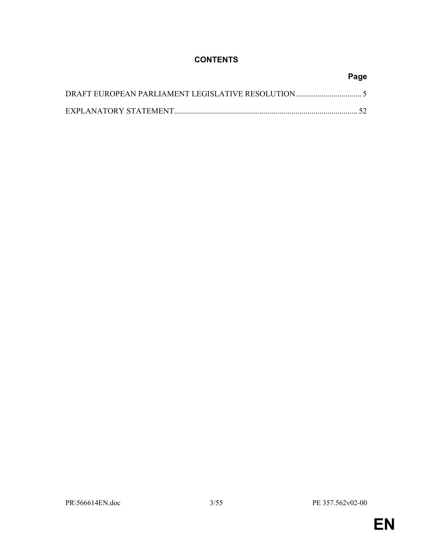# **CONTENTS**

| Page |
|------|
|      |
|      |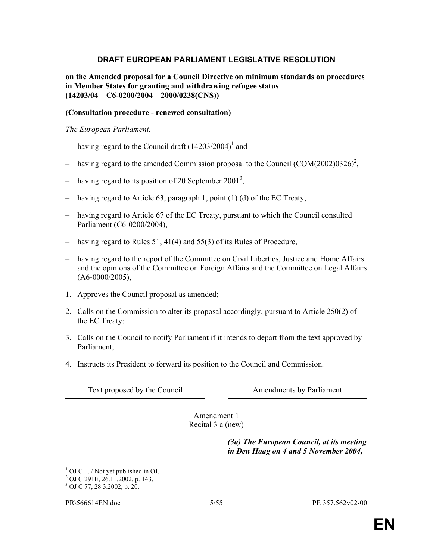# **DRAFT EUROPEAN PARLIAMENT LEGISLATIVE RESOLUTION**

#### **on the Amended proposal for a Council Directive on minimum standards on procedures in Member States for granting and withdrawing refugee status (14203/04 – C6-0200/2004 – 2000/0238(CNS))**

#### **(Consultation procedure - renewed consultation)**

*The European Parliament*,

- having regard to the Council draft  $(14203/2004)^1$  and
- having regard to the amended Commission proposal to the Council (COM(2002)0326)<sup>2</sup>,
- having regard to its position of 20 September  $2001^3$ ,
- having regard to Article 63, paragraph 1, point (1) (d) of the EC Treaty,
- having regard to Article 67 of the EC Treaty, pursuant to which the Council consulted Parliament (C6-0200/2004),
- having regard to Rules 51, 41(4) and 55(3) of its Rules of Procedure,
- having regard to the report of the Committee on Civil Liberties, Justice and Home Affairs and the opinions of the Committee on Foreign Affairs and the Committee on Legal Affairs (A6-0000/2005),
- 1. Approves the Council proposal as amended;
- 2. Calls on the Commission to alter its proposal accordingly, pursuant to Article 250(2) of the EC Treaty;
- 3. Calls on the Council to notify Parliament if it intends to depart from the text approved by Parliament;
- 4. Instructs its President to forward its position to the Council and Commission.

Text proposed by the Council Amendments by Parliament

Amendment 1 Recital 3 a (new)

> *(3a) The European Council, at its meeting in Den Haag on 4 and 5 November 2004,*

 $\overline{a}$ 

<sup>&</sup>lt;sup>1</sup> OJ C ... / Not yet published in OJ.

<sup>2</sup> OJ C 291E, 26.11.2002, p. 143.

<sup>3</sup> OJ C 77, 28.3.2002, p. 20.

PR\566614EN.doc 5/55 PE 357.562v02-00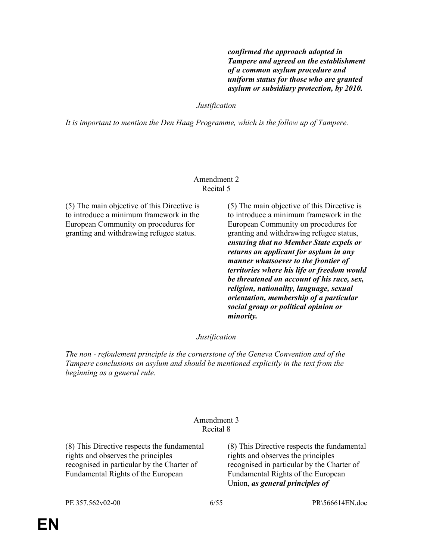#### *confirmed the approach adopted in Tampere and agreed on the establishment of a common asylum procedure and uniform status for those who are granted asylum or subsidiary protection, by 2010.*

#### *Justification*

*It is important to mention the Den Haag Programme, which is the follow up of Tampere.* 

# Amendment 2 Recital 5

(5) The main objective of this Directive is to introduce a minimum framework in the European Community on procedures for granting and withdrawing refugee status.

(5) The main objective of this Directive is to introduce a minimum framework in the European Community on procedures for granting and withdrawing refugee status, *ensuring that no Member State expels or returns an applicant for asylum in any manner whatsoever to the frontier of territories where his life or freedom would be threatened on account of his race, sex, religion, nationality, language, sexual orientation, membership of a particular social group or political opinion or minority.*

### *Justification*

*The non - refoulement principle is the cornerstone of the Geneva Convention and of the Tampere conclusions on asylum and should be mentioned explicitly in the text from the beginning as a general rule.* 

#### Amendment 3 Recital 8

(8) This Directive respects the fundamental rights and observes the principles recognised in particular by the Charter of Fundamental Rights of the European

(8) This Directive respects the fundamental rights and observes the principles recognised in particular by the Charter of Fundamental Rights of the European Union, *as general principles of*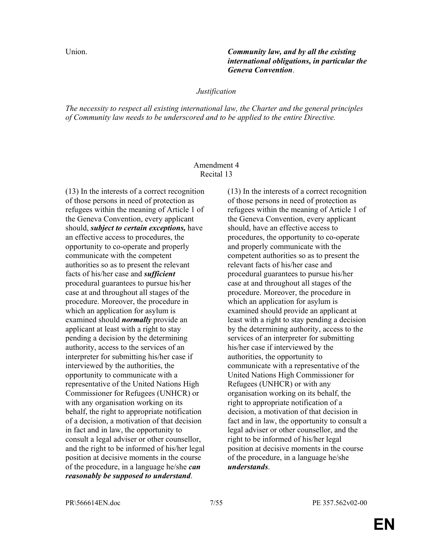Union. *Community law, and by all the existing international obligations, in particular the Geneva Convention*.

#### *Justification*

*The necessity to respect all existing international law, the Charter and the general principles of Community law needs to be underscored and to be applied to the entire Directive.* 

#### Amendment 4 Recital 13

(13) In the interests of a correct recognition of those persons in need of protection as refugees within the meaning of Article 1 of the Geneva Convention, every applicant should, *subject to certain exceptions,* have an effective access to procedures, the opportunity to co-operate and properly communicate with the competent authorities so as to present the relevant facts of his/her case and *sufficient*  procedural guarantees to pursue his/her case at and throughout all stages of the procedure. Moreover, the procedure in which an application for asylum is examined should *normally* provide an applicant at least with a right to stay pending a decision by the determining authority, access to the services of an interpreter for submitting his/her case if interviewed by the authorities, the opportunity to communicate with a representative of the United Nations High Commissioner for Refugees (UNHCR) or with any organisation working on its behalf, the right to appropriate notification of a decision, a motivation of that decision in fact and in law, the opportunity to consult a legal adviser or other counsellor, and the right to be informed of his/her legal position at decisive moments in the course of the procedure, in a language he/she *can reasonably be supposed to understand*.

(13) In the interests of a correct recognition of those persons in need of protection as refugees within the meaning of Article 1 of the Geneva Convention, every applicant should, have an effective access to procedures, the opportunity to co-operate and properly communicate with the competent authorities so as to present the relevant facts of his/her case and procedural guarantees to pursue his/her case at and throughout all stages of the procedure. Moreover, the procedure in which an application for asylum is examined should provide an applicant at least with a right to stay pending a decision by the determining authority, access to the services of an interpreter for submitting his/her case if interviewed by the authorities, the opportunity to communicate with a representative of the United Nations High Commissioner for Refugees (UNHCR) or with any organisation working on its behalf, the right to appropriate notification of a decision, a motivation of that decision in fact and in law, the opportunity to consult a legal adviser or other counsellor, and the right to be informed of his/her legal position at decisive moments in the course of the procedure, in a language he/she *understands*.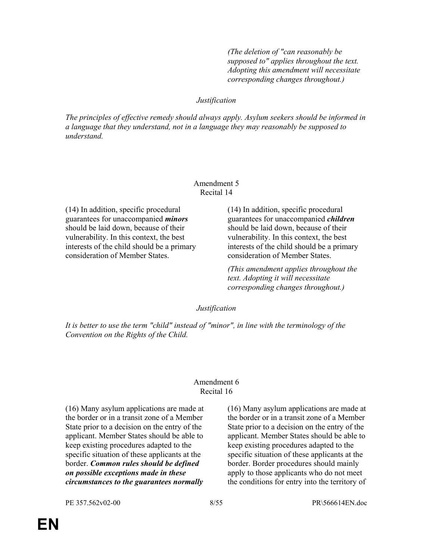*(The deletion of "can reasonably be supposed to" applies throughout the text. Adopting this amendment will necessitate corresponding changes throughout.)*

#### *Justification*

*The principles of effective remedy should always apply. Asylum seekers should be informed in a language that they understand, not in a language they may reasonably be supposed to understand.* 

#### Amendment 5 Recital 14

(14) In addition, specific procedural guarantees for unaccompanied *minors*  should be laid down, because of their vulnerability. In this context, the best interests of the child should be a primary consideration of Member States.

(14) In addition, specific procedural guarantees for unaccompanied *children* should be laid down, because of their vulnerability. In this context, the best interests of the child should be a primary consideration of Member States.

*(This amendment applies throughout the text. Adopting it will necessitate corresponding changes throughout.)*

*Justification* 

*It is better to use the term "child" instead of "minor", in line with the terminology of the Convention on the Rights of the Child.* 

#### Amendment 6 Recital 16

(16) Many asylum applications are made at the border or in a transit zone of a Member State prior to a decision on the entry of the applicant. Member States should be able to keep existing procedures adapted to the specific situation of these applicants at the border. *Common rules should be defined on possible exceptions made in these circumstances to the guarantees normally* 

(16) Many asylum applications are made at the border or in a transit zone of a Member State prior to a decision on the entry of the applicant. Member States should be able to keep existing procedures adapted to the specific situation of these applicants at the border. Border procedures should mainly apply to those applicants who do not meet the conditions for entry into the territory of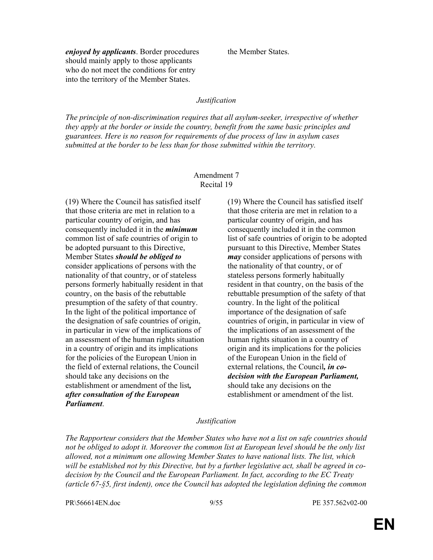*enjoyed by applicants*. Border procedures should mainly apply to those applicants who do not meet the conditions for entry into the territory of the Member States.

#### the Member States.

#### *Justification*

*The principle of non-discrimination requires that all asylum-seeker, irrespective of whether they apply at the border or inside the country, benefit from the same basic principles and guarantees. Here is no reason for requirements of due process of law in asylum cases submitted at the border to be less than for those submitted within the territory.* 

#### Amendment 7 Recital 19

(19) Where the Council has satisfied itself that those criteria are met in relation to a particular country of origin, and has consequently included it in the *minimum* common list of safe countries of origin to be adopted pursuant to this Directive, Member States *should be obliged to* consider applications of persons with the nationality of that country, or of stateless persons formerly habitually resident in that country, on the basis of the rebuttable presumption of the safety of that country. In the light of the political importance of the designation of safe countries of origin, in particular in view of the implications of an assessment of the human rights situation in a country of origin and its implications for the policies of the European Union in the field of external relations, the Council should take any decisions on the establishment or amendment of the list*, after consultation of the European Parliament*.

(19) Where the Council has satisfied itself that those criteria are met in relation to a particular country of origin, and has consequently included it in the common list of safe countries of origin to be adopted pursuant to this Directive, Member States *may* consider applications of persons with the nationality of that country, or of stateless persons formerly habitually resident in that country, on the basis of the rebuttable presumption of the safety of that country. In the light of the political importance of the designation of safe countries of origin, in particular in view of the implications of an assessment of the human rights situation in a country of origin and its implications for the policies of the European Union in the field of external relations, the Council*, in codecision with the European Parliament,*  should take any decisions on the establishment or amendment of the list.

#### *Justification*

*The Rapporteur considers that the Member States who have not a list on safe countries should not be obliged to adopt it. Moreover the common list at European level should be the only list allowed, not a minimum one allowing Member States to have national lists. The list, which will be established not by this Directive, but by a further legislative act, shall be agreed in codecision by the Council and the European Parliament. In fact, according to the EC Treaty (article 67-§5, first indent), once the Council has adopted the legislation defining the common* 

PR\566614EN.doc 9/55 PE 357.562v02-00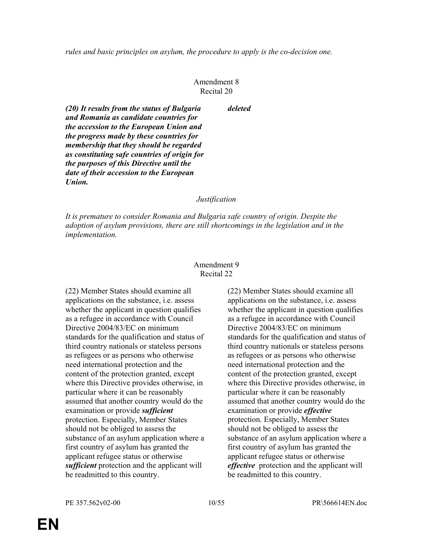#### Amendment 8 Recital 20

*deleted* 

*(20) It results from the status of Bulgaria and Romania as candidate countries for the accession to the European Union and the progress made by these countries for membership that they should be regarded as constituting safe countries of origin for the purposes of this Directive until the date of their accession to the European Union.* 

#### *Justification*

*It is premature to consider Romania and Bulgaria safe country of origin. Despite the adoption of asylum provisions, there are still shortcomings in the legislation and in the implementation.* 

#### Amendment 9 Recital 22

(22) Member States should examine all applications on the substance, i.e. assess whether the applicant in question qualifies as a refugee in accordance with Council Directive 2004/83/EC on minimum standards for the qualification and status of third country nationals or stateless persons as refugees or as persons who otherwise need international protection and the content of the protection granted, except where this Directive provides otherwise, in particular where it can be reasonably assumed that another country would do the examination or provide *sufficient*  protection. Especially, Member States should not be obliged to assess the substance of an asylum application where a first country of asylum has granted the applicant refugee status or otherwise *sufficient* protection and the applicant will be readmitted to this country.

(22) Member States should examine all applications on the substance, i.e. assess whether the applicant in question qualifies as a refugee in accordance with Council Directive 2004/83/EC on minimum standards for the qualification and status of third country nationals or stateless persons as refugees or as persons who otherwise need international protection and the content of the protection granted, except where this Directive provides otherwise, in particular where it can be reasonably assumed that another country would do the examination or provide *effective* protection. Especially, Member States should not be obliged to assess the substance of an asylum application where a first country of asylum has granted the applicant refugee status or otherwise *effective* protection and the applicant will be readmitted to this country.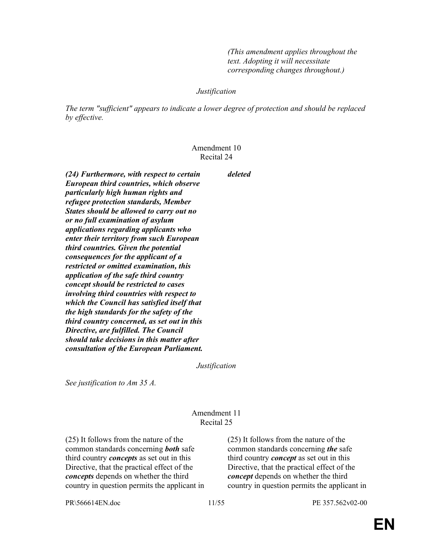*(This amendment applies throughout the text. Adopting it will necessitate corresponding changes throughout.)*

#### *Justification*

*The term "sufficient" appears to indicate a lower degree of protection and should be replaced by effective.* 

#### Amendment 10 Recital 24

*deleted* 

*(24) Furthermore, with respect to certain European third countries, which observe particularly high human rights and refugee protection standards, Member States should be allowed to carry out no or no full examination of asylum applications regarding applicants who enter their territory from such European third countries. Given the potential consequences for the applicant of a restricted or omitted examination, this application of the safe third country concept should be restricted to cases involving third countries with respect to which the Council has satisfied itself that the high standards for the safety of the third country concerned, as set out in this Directive, are fulfilled. The Council should take decisions in this matter after consultation of the European Parliament.* 

#### *Justification*

*See justification to Am 35 A.* 

#### Amendment 11 Recital 25

(25) It follows from the nature of the common standards concerning *both* safe third country *concepts* as set out in this Directive, that the practical effect of the *concepts* depends on whether the third country in question permits the applicant in (25) It follows from the nature of the common standards concerning *the* safe third country *concept* as set out in this Directive, that the practical effect of the *concept* depends on whether the third country in question permits the applicant in

PR\566614EN.doc 11/55 PE 357.562v02-00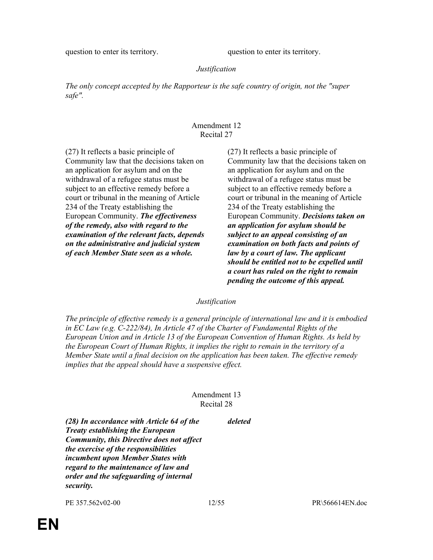question to enter its territory.  $q$  and  $q$  and  $q$  and  $q$  and  $q$  and  $q$  and  $q$  and  $q$  and  $q$  and  $q$  and  $q$  and  $q$  and  $q$  and  $q$  and  $q$  and  $q$  and  $q$  and  $q$  and  $q$  and  $q$  and  $q$  and  $q$  and  $q$  and  $q$  a

#### *Justification*

*The only concept accepted by the Rapporteur is the safe country of origin, not the "super safe".* 

#### Amendment 12 Recital 27

(27) It reflects a basic principle of Community law that the decisions taken on an application for asylum and on the withdrawal of a refugee status must be subject to an effective remedy before a court or tribunal in the meaning of Article 234 of the Treaty establishing the European Community. *The effectiveness of the remedy, also with regard to the examination of the relevant facts, depends on the administrative and judicial system of each Member State seen as a whole.*

(27) It reflects a basic principle of Community law that the decisions taken on an application for asylum and on the withdrawal of a refugee status must be subject to an effective remedy before a court or tribunal in the meaning of Article 234 of the Treaty establishing the European Community. *Decisions taken on an application for asylum should be subject to an appeal consisting of an examination on both facts and points of law by a court of law. The applicant should be entitled not to be expelled until a court has ruled on the right to remain pending the outcome of this appeal.* 

#### *Justification*

*The principle of effective remedy is a general principle of international law and it is embodied in EC Law (e.g. C-222/84), In Article 47 of the Charter of Fundamental Rights of the European Union and in Article 13 of the European Convention of Human Rights. As held by the European Court of Human Rights, it implies the right to remain in the territory of a Member State until a final decision on the application has been taken. The effective remedy implies that the appeal should have a suspensive effect.* 

#### Amendment 13 Recital 28

*deleted* 

*(28) In accordance with Article 64 of the Treaty establishing the European Community, this Directive does not affect the exercise of the responsibilities incumbent upon Member States with regard to the maintenance of law and order and the safeguarding of internal security.*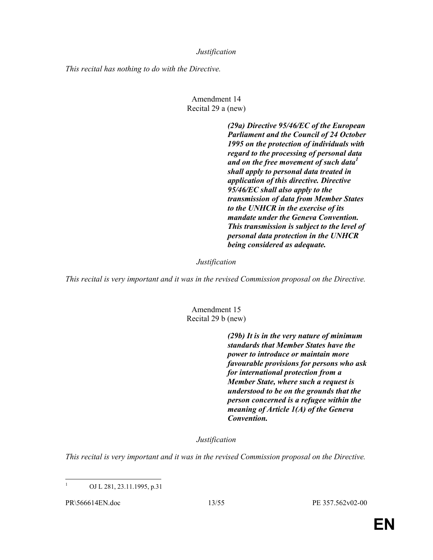*Justification* 

*This recital has nothing to do with the Directive.* 

Amendment 14 Recital 29 a (new)

> *(29a) Directive 95/46/EC of the European Parliament and the Council of 24 October 1995 on the protection of individuals with regard to the processing of personal data and on the free movement of such data<sup>1</sup> shall apply to personal data treated in application of this directive. Directive 95/46/EC shall also apply to the transmission of data from Member States to the UNHCR in the exercise of its mandate under the Geneva Convention. This transmission is subject to the level of personal data protection in the UNHCR being considered as adequate.*

*Justification* 

*This recital is very important and it was in the revised Commission proposal on the Directive.* 

### Amendment 15 Recital 29 b (new)

*(29b) It is in the very nature of minimum standards that Member States have the power to introduce or maintain more favourable provisions for persons who ask for international protection from a Member State, where such a request is understood to be on the grounds that the person concerned is a refugee within the meaning of Article 1(A) of the Geneva Convention.*

# *Justification*

*This recital is very important and it was in the revised Commission proposal on the Directive.* 

<sup>|&</sup>lt;br>|<br>| OJ L 281, 23.11.1995, p.31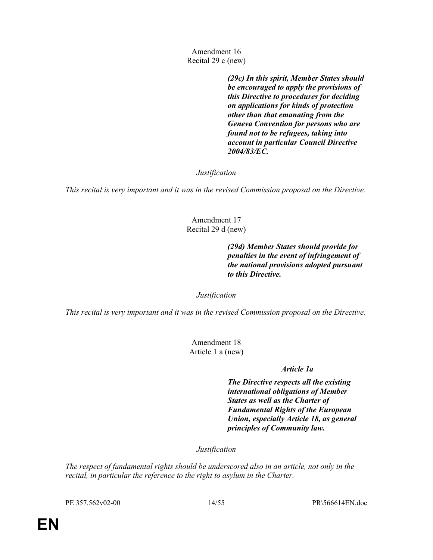Amendment 16 Recital 29 c (new)

> *(29c) In this spirit, Member States should be encouraged to apply the provisions of this Directive to procedures for deciding on applications for kinds of protection other than that emanating from the Geneva Convention for persons who are found not to be refugees, taking into account in particular Council Directive 2004/83/EC.*

*Justification* 

*This recital is very important and it was in the revised Commission proposal on the Directive.* 

# Amendment 17 Recital 29 d (new)

*(29d) Member States should provide for penalties in the event of infringement of the national provisions adopted pursuant to this Directive.*

*Justification* 

*This recital is very important and it was in the revised Commission proposal on the Directive.* 

Amendment 18 Article 1 a (new)

*Article 1a* 

*The Directive respects all the existing international obligations of Member States as well as the Charter of Fundamental Rights of the European Union, especially Article 18, as general principles of Community law.*

# *Justification*

*The respect of fundamental rights should be underscored also in an article, not only in the recital, in particular the reference to the right to asylum in the Charter.* 

PE 357.562v02-00 14/55 PR\566614EN.doc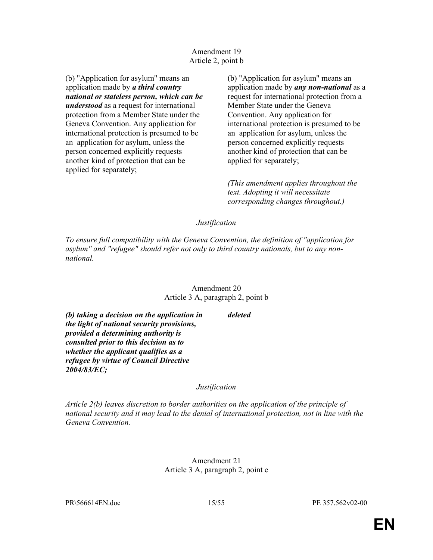Amendment 19 Article 2, point b

(b) "Application for asylum" means an application made by *a third country national or stateless person, which can be understood* as a request for international protection from a Member State under the Geneva Convention. Any application for international protection is presumed to be an application for asylum, unless the person concerned explicitly requests another kind of protection that can be applied for separately;

(b) "Application for asylum" means an application made by *any non-national* as a request for international protection from a Member State under the Geneva Convention. Any application for international protection is presumed to be an application for asylum, unless the person concerned explicitly requests another kind of protection that can be applied for separately;

*(This amendment applies throughout the text. Adopting it will necessitate corresponding changes throughout.)*

*Justification* 

*To ensure full compatibility with the Geneva Convention, the definition of "application for asylum" and "refugee" should refer not only to third country nationals, but to any nonnational.* 

# Amendment 20 Article 3 A, paragraph 2, point b

*deleted* 

*(b) taking a decision on the application in the light of national security provisions, provided a determining authority is consulted prior to this decision as to whether the applicant qualifies as a refugee by virtue of Council Directive 2004/83/EC;* 

# *Justification*

*Article 2(b) leaves discretion to border authorities on the application of the principle of national security and it may lead to the denial of international protection, not in line with the Geneva Convention.* 

# Amendment 21 Article 3 A, paragraph 2, point e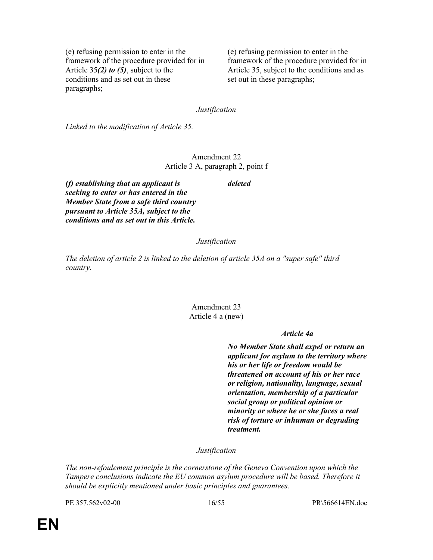(e) refusing permission to enter in the framework of the procedure provided for in Article 35*(2) to (5)*, subject to the conditions and as set out in these paragraphs;

(e) refusing permission to enter in the framework of the procedure provided for in Article 35, subject to the conditions and as set out in these paragraphs;

#### *Justification*

*Linked to the modification of Article 35.* 

#### Amendment 22 Article 3 A, paragraph 2, point f

*deleted* 

*(f) establishing that an applicant is seeking to enter or has entered in the Member State from a safe third country pursuant to Article 35A, subject to the conditions and as set out in this Article.*

### *Justification*

*The deletion of article 2 is linked to the deletion of article 35A on a "super safe" third country.* 

#### Amendment 23 Article 4 a (new)

#### *Article 4a*

*No Member State shall expel or return an applicant for asylum to the territory where his or her life or freedom would be threatened on account of his or her race or religion, nationality, language, sexual orientation, membership of a particular social group or political opinion or minority or where he or she faces a real risk of torture or inhuman or degrading treatment.*

#### *Justification*

*The non-refoulement principle is the cornerstone of the Geneva Convention upon which the Tampere conclusions indicate the EU common asylum procedure will be based. Therefore it should be explicitly mentioned under basic principles and guarantees.* 

PE 357.562v02-00 16/55 PR\566614EN.doc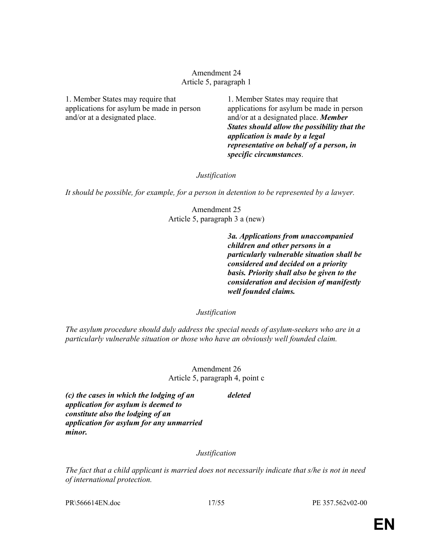# Amendment 24 Article 5, paragraph 1

1. Member States may require that applications for asylum be made in person and/or at a designated place.

1. Member States may require that applications for asylum be made in person and/or at a designated place. *Member States should allow the possibility that the application is made by a legal representative on behalf of a person, in specific circumstances*.

*Justification* 

*It should be possible, for example, for a person in detention to be represented by a lawyer.* 

Amendment 25 Article 5, paragraph 3 a (new)

> *3a. Applications from unaccompanied children and other persons in a particularly vulnerable situation shall be considered and decided on a priority basis. Priority shall also be given to the consideration and decision of manifestly well founded claims.*

*Justification* 

*The asylum procedure should duly address the special needs of asylum-seekers who are in a particularly vulnerable situation or those who have an obviously well founded claim.* 

> Amendment 26 Article 5, paragraph 4, point c

> > *deleted*

*(c) the cases in which the lodging of an application for asylum is deemed to constitute also the lodging of an application for asylum for any unmarried minor.* 

# *Justification*

*The fact that a child applicant is married does not necessarily indicate that s/he is not in need of international protection.* 

PR\566614EN.doc 17/55 PE 357.562v02-00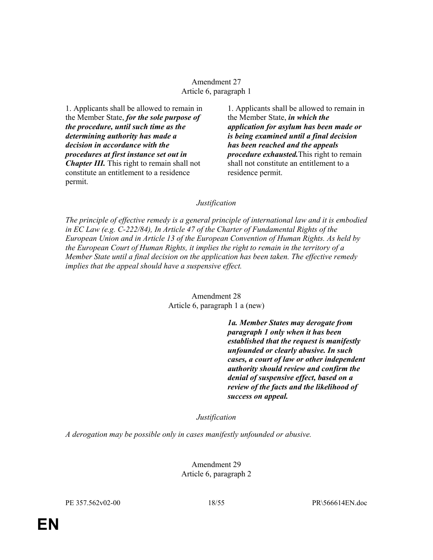### Amendment 27 Article 6, paragraph 1

1. Applicants shall be allowed to remain in the Member State, *for the sole purpose of the procedure, until such time as the determining authority has made a decision in accordance with the procedures at first instance set out in Chapter III.* This right to remain shall not constitute an entitlement to a residence permit.

1. Applicants shall be allowed to remain in the Member State, *in which the application for asylum has been made or is being examined until a final decision has been reached and the appeals procedure exhausted.*This right to remain shall not constitute an entitlement to a residence permit.

### *Justification*

*The principle of effective remedy is a general principle of international law and it is embodied in EC Law (e.g. C-222/84), In Article 47 of the Charter of Fundamental Rights of the European Union and in Article 13 of the European Convention of Human Rights. As held by the European Court of Human Rights, it implies the right to remain in the territory of a Member State until a final decision on the application has been taken. The effective remedy implies that the appeal should have a suspensive effect.* 

#### Amendment 28 Article 6, paragraph 1 a (new)

*1a. Member States may derogate from paragraph 1 only when it has been established that the request is manifestly unfounded or clearly abusive. In such cases, a court of law or other independent authority should review and confirm the denial of suspensive effect, based on a review of the facts and the likelihood of success on appeal.*

### *Justification*

*A derogation may be possible only in cases manifestly unfounded or abusive.* 

Amendment 29 Article 6, paragraph 2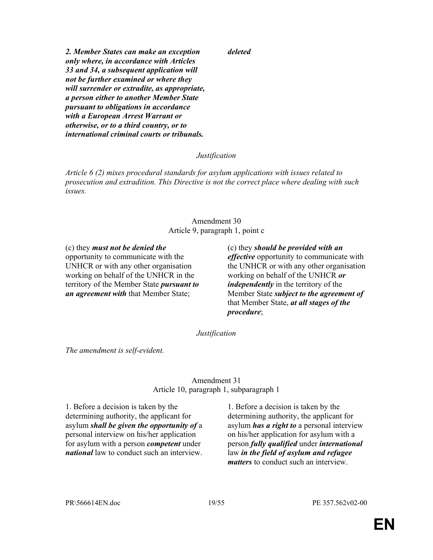*2. Member States can make an exception only where, in accordance with Articles 33 and 34, a subsequent application will not be further examined or where they will surrender or extradite, as appropriate, a person either to another Member State pursuant to obligations in accordance with a European Arrest Warrant or otherwise, or to a third country, or to international criminal courts or tribunals.* 

#### *Justification*

*deleted* 

*Article 6 (2) mixes procedural standards for asylum applications with issues related to prosecution and extradition. This Directive is not the correct place where dealing with such issues.* 

#### Amendment 30 Article 9, paragraph 1, point c

(c) they *must not be denied the* opportunity to communicate with the UNHCR or with any other organisation working on behalf of the UNHCR in the territory of the Member State *pursuant to an agreement with* that Member State;

(c) they *should be provided with an effective* opportunity to communicate with the UNHCR or with any other organisation working on behalf of the UNHCR *or independently* in the territory of the Member State *subject to the agreement of* that Member State, *at all stages of the procedure*;

*Justification* 

*The amendment is self-evident.* 

#### Amendment 31 Article 10, paragraph 1, subparagraph 1

1. Before a decision is taken by the determining authority, the applicant for asylum *shall be given the opportunity of* a personal interview on his/her application for asylum with a person *competent* under *national* law to conduct such an interview.

1. Before a decision is taken by the determining authority, the applicant for asylum *has a right to* a personal interview on his/her application for asylum with a person *fully qualified* under *international* law *in the field of asylum and refugee matters* to conduct such an interview.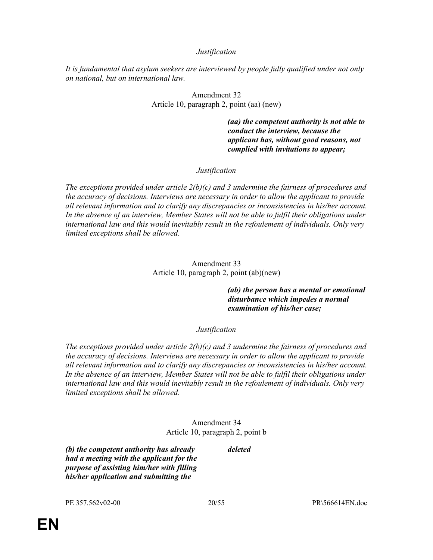#### *Justification*

*It is fundamental that asylum seekers are interviewed by people fully qualified under not only on national, but on international law.* 

> Amendment 32 Article 10, paragraph 2, point (aa) (new)

> > *(aa) the competent authority is not able to conduct the interview, because the applicant has, without good reasons, not complied with invitations to appear;*

*Justification* 

*The exceptions provided under article 2(b)(c) and 3 undermine the fairness of procedures and the accuracy of decisions. Interviews are necessary in order to allow the applicant to provide all relevant information and to clarify any discrepancies or inconsistencies in his/her account. In the absence of an interview, Member States will not be able to fulfil their obligations under international law and this would inevitably result in the refoulement of individuals. Only very limited exceptions shall be allowed.* 

> Amendment 33 Article 10, paragraph 2, point (ab)(new)

> > *(ab) the person has a mental or emotional disturbance which impedes a normal examination of his/her case;*

#### *Justification*

*The exceptions provided under article 2(b)(c) and 3 undermine the fairness of procedures and the accuracy of decisions. Interviews are necessary in order to allow the applicant to provide all relevant information and to clarify any discrepancies or inconsistencies in his/her account. In the absence of an interview, Member States will not be able to fulfil their obligations under international law and this would inevitably result in the refoulement of individuals. Only very limited exceptions shall be allowed.* 

## Amendment 34 Article 10, paragraph 2, point b

*(b) the competent authority has already had a meeting with the applicant for the purpose of assisting him/her with filling his/her application and submitting the* 

*deleted* 

PE 357.562v02-00 20/55 PR\566614EN.doc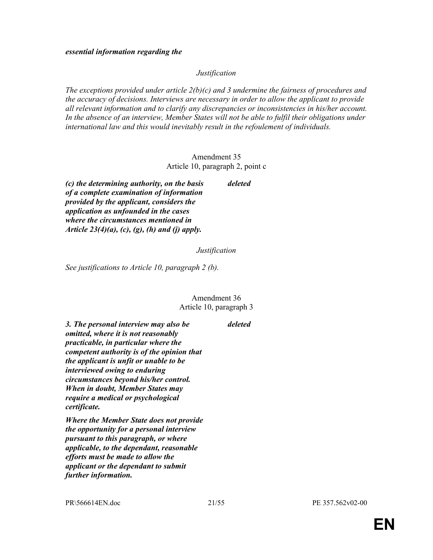*essential information regarding the* 

#### *Justification*

*The exceptions provided under article 2(b)(c) and 3 undermine the fairness of procedures and the accuracy of decisions. Interviews are necessary in order to allow the applicant to provide all relevant information and to clarify any discrepancies or inconsistencies in his/her account. In the absence of an interview, Member States will not be able to fulfil their obligations under international law and this would inevitably result in the refoulement of individuals.* 

> Amendment 35 Article 10, paragraph 2, point c

*(c) the determining authority, on the basis of a complete examination of information provided by the applicant, considers the application as unfounded in the cases where the circumstances mentioned in Article 23(4)(a), (c), (g), (h) and (j) apply. deleted* 

#### *Justification*

*See justifications to Article 10, paragraph 2 (b).* 

#### Amendment 36 Article 10, paragraph 3

*deleted* 

*3. The personal interview may also be omitted, where it is not reasonably practicable, in particular where the competent authority is of the opinion that the applicant is unfit or unable to be interviewed owing to enduring circumstances beyond his/her control. When in doubt, Member States may require a medical or psychological certificate.*

*Where the Member State does not provide the opportunity for a personal interview pursuant to this paragraph, or where applicable, to the dependant, reasonable efforts must be made to allow the applicant or the dependant to submit further information.*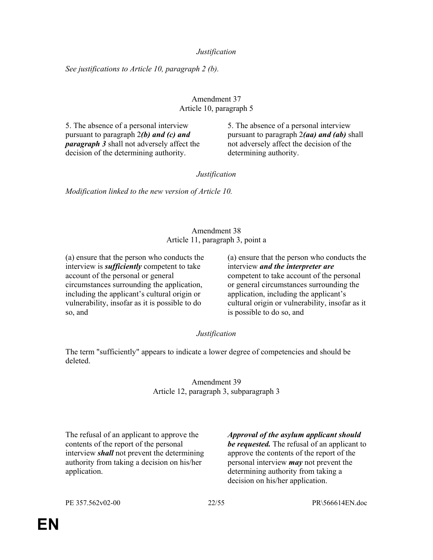#### *Justification*

*See justifications to Article 10, paragraph 2 (b).* 

#### Amendment 37 Article 10, paragraph 5

5. The absence of a personal interview pursuant to paragraph 2*(b) and (c) and paragraph 3* shall not adversely affect the decision of the determining authority.

5. The absence of a personal interview pursuant to paragraph 2*(aa) and (ab)* shall not adversely affect the decision of the determining authority.

*Justification* 

*Modification linked to the new version of Article 10.* 

# Amendment 38 Article 11, paragraph 3, point a

(a) ensure that the person who conducts the interview is *sufficiently* competent to take account of the personal or general circumstances surrounding the application, including the applicant's cultural origin or vulnerability, insofar as it is possible to do so, and

(a) ensure that the person who conducts the interview *and the interpreter are* competent to take account of the personal or general circumstances surrounding the application, including the applicant's cultural origin or vulnerability, insofar as it is possible to do so, and

#### *Justification*

The term "sufficiently" appears to indicate a lower degree of competencies and should be deleted.

> Amendment 39 Article 12, paragraph 3, subparagraph 3

The refusal of an applicant to approve the contents of the report of the personal interview *shall* not prevent the determining authority from taking a decision on his/her application.

*Approval of the asylum applicant should be requested.* The refusal of an applicant to approve the contents of the report of the personal interview *may* not prevent the determining authority from taking a decision on his/her application.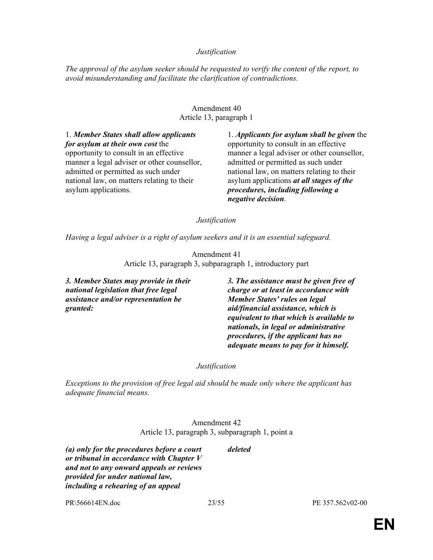#### *Justification*

*The approval of the asylum seeker should be requested to verify the content of the report, to avoid misunderstanding and facilitate the clarification of contradictions.* 

#### Amendment 40 Article 13, paragraph 1

1. *Member States shall allow applicants for asylum at their own cost* the opportunity to consult in an effective manner a legal adviser or other counsellor, admitted or permitted as such under national law, on matters relating to their asylum applications.

1. *Applicants for asylum shall be given* the opportunity to consult in an effective manner a legal adviser or other counsellor, admitted or permitted as such under national law, on matters relating to their asylum applications *at all stages of the procedures, including following a negative decision*.

*Justification* 

*Having a legal adviser is a right of asylum seekers and it is an essential safeguard.* 

Amendment 41 Article 13, paragraph 3, subparagraph 1, introductory part

*3. Member States may provide in their national legislation that free legal assistance and/or representation be granted:*

*3. The assistance must be given free of charge or at least in accordance with Member States' rules on legal aid/financial assistance, which is equivalent to that which is available to nationals, in legal or administrative procedures, if the applicant has no adequate means to pay for it himself.*

#### *Justification*

*Exceptions to the provision of free legal aid should be made only where the applicant has adequate financial means.* 

> Amendment 42 Article 13, paragraph 3, subparagraph 1, point a

> > *deleted*

*(a) only for the procedures before a court or tribunal in accordance with Chapter V and not to any onward appeals or reviews provided for under national law, including a rehearing of an appeal*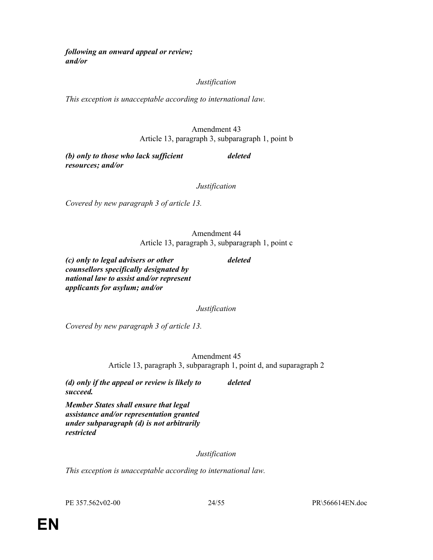*following an onward appeal or review; and/or*

# *Justification*

*This exception is unacceptable according to international law.* 

Amendment 43 Article 13, paragraph 3, subparagraph 1, point b

*(b) only to those who lack sufficient resources; and/or*

*deleted* 

*deleted* 

*Justification* 

*Covered by new paragraph 3 of article 13.* 

Amendment 44 Article 13, paragraph 3, subparagraph 1, point c

*(c) only to legal advisers or other counsellors specifically designated by national law to assist and/or represent applicants for asylum; and/or*

### *Justification*

*Covered by new paragraph 3 of article 13.* 

Amendment 45 Article 13, paragraph 3, subparagraph 1, point d, and suparagraph 2

*(d) only if the appeal or review is likely to succeed. deleted* 

*Member States shall ensure that legal assistance and/or representation granted under subparagraph (d) is not arbitrarily restricted* 

### *Justification*

*This exception is unacceptable according to international law.* 

PE 357.562v02-00 24/55 PR\566614EN.doc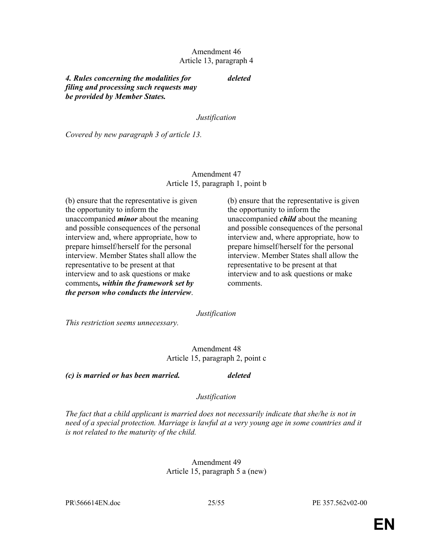### Amendment 46 Article 13, paragraph 4

*4. Rules concerning the modalities for filing and processing such requests may be provided by Member States.*

*deleted* 

*Justification* 

*Covered by new paragraph 3 of article 13.* 

# Amendment 47 Article 15, paragraph 1, point b

(b) ensure that the representative is given the opportunity to inform the unaccompanied *minor* about the meaning and possible consequences of the personal interview and, where appropriate, how to prepare himself/herself for the personal interview. Member States shall allow the representative to be present at that interview and to ask questions or make comments*, within the framework set by the person who conducts the interview*.

(b) ensure that the representative is given the opportunity to inform the unaccompanied *child* about the meaning and possible consequences of the personal interview and, where appropriate, how to prepare himself/herself for the personal interview. Member States shall allow the representative to be present at that interview and to ask questions or make comments.

*Justification* 

*This restriction seems unnecessary.* 

Amendment 48 Article 15, paragraph 2, point c

*(c) is married or has been married. deleted*

# *Justification*

*The fact that a child applicant is married does not necessarily indicate that she/he is not in need of a special protection. Marriage is lawful at a very young age in some countries and it is not related to the maturity of the child.* 

> Amendment 49 Article 15, paragraph 5 a (new)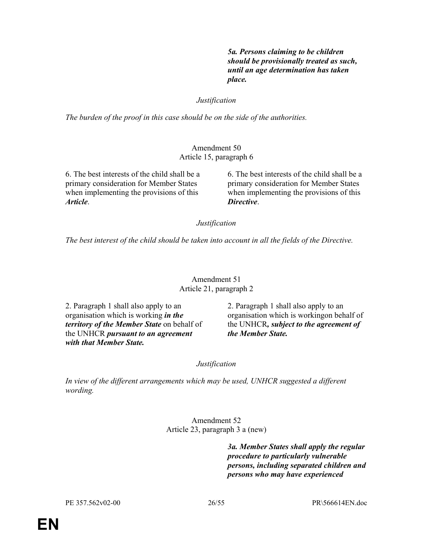*5a. Persons claiming to be children should be provisionally treated as such, until an age determination has taken place.*

#### *Justification*

*The burden of the proof in this case should be on the side of the authorities.* 

#### Amendment 50 Article 15, paragraph 6

6. The best interests of the child shall be a primary consideration for Member States when implementing the provisions of this *Article*.

6. The best interests of the child shall be a primary consideration for Member States when implementing the provisions of this *Directive*.

*Justification* 

*The best interest of the child should be taken into account in all the fields of the Directive.* 

Amendment 51 Article 21, paragraph 2

2. Paragraph 1 shall also apply to an organisation which is working *in the territory of the Member State* on behalf of the UNHCR *pursuant to an agreement with that Member State.*

2. Paragraph 1 shall also apply to an organisation which is workingon behalf of the UNHCR*, subject to the agreement of the Member State.*

#### *Justification*

*In view of the different arrangements which may be used, UNHCR suggested a different wording.* 

> Amendment 52 Article 23, paragraph 3 a (new)

> > *3a. Member States shall apply the regular procedure to particularly vulnerable persons, including separated children and persons who may have experienced*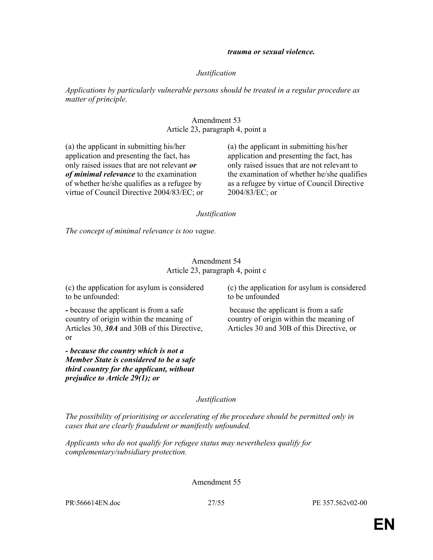#### *trauma or sexual violence.*

#### *Justification*

*Applications by particularly vulnerable persons should be treated in a regular procedure as matter of principle.* 

#### Amendment 53 Article 23, paragraph 4, point a

(a) the applicant in submitting his/her application and presenting the fact, has only raised issues that are not relevant *or of minimal relevance* to the examination of whether he/she qualifies as a refugee by virtue of Council Directive 2004/83/EC; or (a) the applicant in submitting his/her application and presenting the fact, has only raised issues that are not relevant to the examination of whether he/she qualifies as a refugee by virtue of Council Directive 2004/83/EC; or

*Justification* 

*The concept of minimal relevance is too vague.* 

#### Amendment 54 Article 23, paragraph 4, point c

(c) the application for asylum is considered to be unfounded:

*-* because the applicant is from a safe country of origin within the meaning of Articles 30, *30A* and 30B of this Directive, or

*- because the country which is not a Member State is considered to be a safe third country for the applicant, without prejudice to Article 29(1); or* 

(c) the application for asylum is considered to be unfounded

 because the applicant is from a safe country of origin within the meaning of Articles 30 and 30B of this Directive, or

#### *Justification*

*The possibility of prioritising or accelerating of the procedure should be permitted only in cases that are clearly fraudulent or manifestly unfounded.* 

*Applicants who do not qualify for refugee status may nevertheless qualify for complementary/subsidiary protection.* 

Amendment 55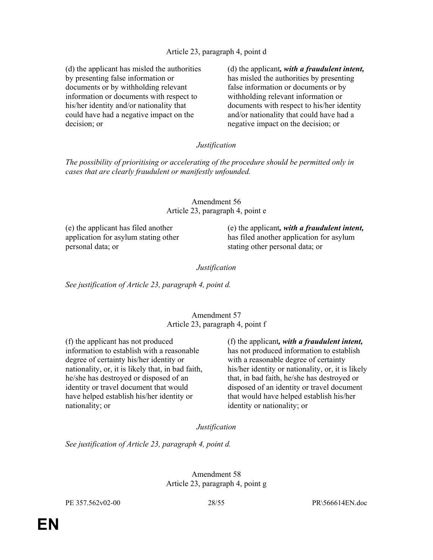(d) the applicant has misled the authorities by presenting false information or documents or by withholding relevant information or documents with respect to his/her identity and/or nationality that could have had a negative impact on the decision; or

(d) the applicant*, with a fraudulent intent,* has misled the authorities by presenting false information or documents or by withholding relevant information or documents with respect to his/her identity and/or nationality that could have had a negative impact on the decision; or

# *Justification*

*The possibility of prioritising or accelerating of the procedure should be permitted only in cases that are clearly fraudulent or manifestly unfounded.* 

#### Amendment 56 Article 23, paragraph 4, point e

(e) the applicant has filed another application for asylum stating other personal data; or

(e) the applicant*, with a fraudulent intent,* has filed another application for asylum stating other personal data; or

#### *Justification*

*See justification of Article 23, paragraph 4, point d.* 

# Amendment 57 Article 23, paragraph 4, point f

(f) the applicant has not produced information to establish with a reasonable degree of certainty his/her identity or nationality, or, it is likely that, in bad faith, he/she has destroyed or disposed of an identity or travel document that would have helped establish his/her identity or nationality; or

(f) the applicant*, with a fraudulent intent,* has not produced information to establish with a reasonable degree of certainty his/her identity or nationality, or, it is likely that, in bad faith, he/she has destroyed or disposed of an identity or travel document that would have helped establish his/her identity or nationality; or

*Justification* 

*See justification of Article 23, paragraph 4, point d.* 

Amendment 58 Article 23, paragraph 4, point g

PE 357.562v02-00 28/55 PR\566614EN.doc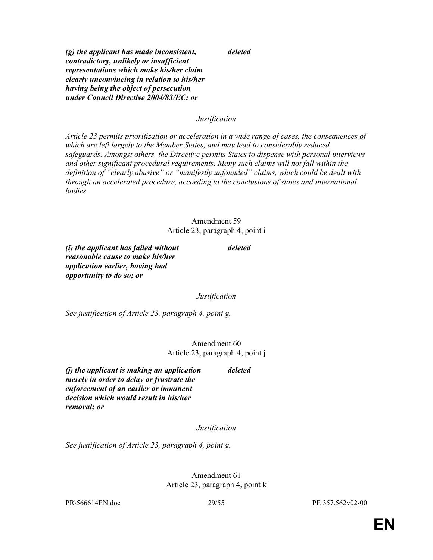*(g) the applicant has made inconsistent, contradictory, unlikely or insufficient representations which make his/her claim clearly unconvincing in relation to his/her having being the object of persecution under Council Directive 2004/83/EC; or*

*deleted* 

#### *Justification*

*Article 23 permits prioritization or acceleration in a wide range of cases, the consequences of which are left largely to the Member States, and may lead to considerably reduced safeguards. Amongst others, the Directive permits States to dispense with personal interviews and other significant procedural requirements. Many such claims will not fall within the definition of "clearly abusive" or "manifestly unfounded" claims, which could be dealt with through an accelerated procedure, according to the conclusions of states and international bodies.* 

#### Amendment 59 Article 23, paragraph 4, point i

*deleted* 

*(i) the applicant has failed without reasonable cause to make his/her application earlier, having had opportunity to do so; or*

#### *Justification*

*See justification of Article 23, paragraph 4, point g.* 

#### Amendment 60 Article 23, paragraph 4, point j

*(j) the applicant is making an application merely in order to delay or frustrate the enforcement of an earlier or imminent decision which would result in his/her removal; or deleted* 

#### *Justification*

*See justification of Article 23, paragraph 4, point g.* 

#### Amendment 61 Article 23, paragraph 4, point k

PR\566614EN.doc 29/55 PE 357.562v02-00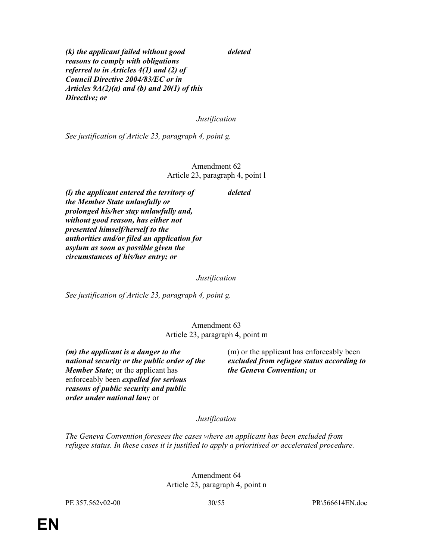#### *deleted*

*(k) the applicant failed without good reasons to comply with obligations referred to in Articles 4(1) and (2) of Council Directive 2004/83/EC or in Articles 9A(2)(a) and (b) and 20(1) of this Directive; or*

*Justification* 

*See justification of Article 23, paragraph 4, point g.* 

# Amendment 62 Article 23, paragraph 4, point l

*deleted* 

*(l) the applicant entered the territory of the Member State unlawfully or prolonged his/her stay unlawfully and, without good reason, has either not presented himself/herself to the authorities and/or filed an application for asylum as soon as possible given the circumstances of his/her entry; or*

#### *Justification*

*See justification of Article 23, paragraph 4, point g.* 

### Amendment 63 Article 23, paragraph 4, point m

*(m) the applicant is a danger to the national security or the public order of the Member State*; or the applicant has enforceably been *expelled for serious reasons of public security and public order under national law;* or

(m) or the applicant has enforceably been *excluded from refugee status according to the Geneva Convention;* or

#### *Justification*

*The Geneva Convention foresees the cases where an applicant has been excluded from refugee status. In these cases it is justified to apply a prioritised or accelerated procedure.* 

> Amendment 64 Article 23, paragraph 4, point n

PE 357.562v02-00 30/55 PR\566614EN.doc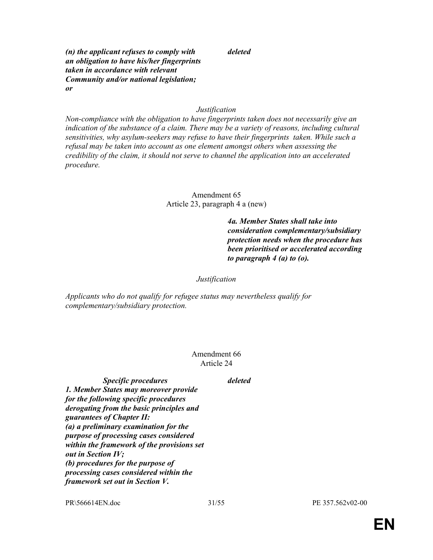*(n) the applicant refuses to comply with an obligation to have his/her fingerprints taken in accordance with relevant Community and/or national legislation; or*

*deleted* 

#### *Justification*

*Non-compliance with the obligation to have fingerprints taken does not necessarily give an*  indication of the substance of a claim. There may be a variety of reasons, including cultural *sensitivities, why asylum-seekers may refuse to have their fingerprints taken. While such a refusal may be taken into account as one element amongst others when assessing the credibility of the claim, it should not serve to channel the application into an accelerated procedure.* 

> Amendment 65 Article 23, paragraph 4 a (new)

> > *4a. Member States shall take into consideration complementary/subsidiary protection needs when the procedure has been prioritised or accelerated according to paragraph 4 (a) to (o).*

#### *Justification*

*Applicants who do not qualify for refugee status may nevertheless qualify for complementary/subsidiary protection.* 

#### Amendment 66 Article 24

*Specific procedures deleted 1. Member States may moreover provide for the following specific procedures derogating from the basic principles and guarantees of Chapter II: (a) a preliminary examination for the purpose of processing cases considered within the framework of the provisions set out in Section IV; (b) procedures for the purpose of processing cases considered within the framework set out in Section V.* 

PR\566614EN.doc 31/55 PE 357.562v02-00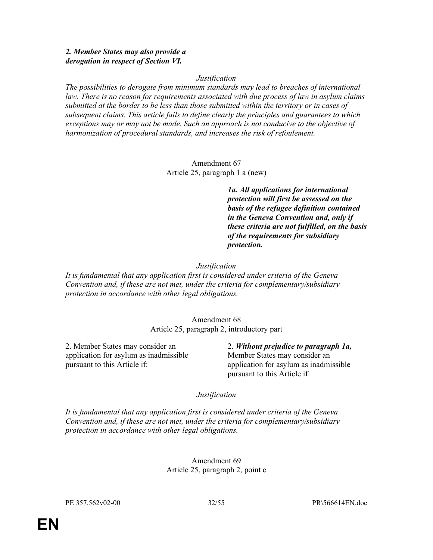# *2. Member States may also provide a derogation in respect of Section VI.*

*Justification* 

*The possibilities to derogate from minimum standards may lead to breaches of international law. There is no reason for requirements associated with due process of law in asylum claims submitted at the border to be less than those submitted within the territory or in cases of subsequent claims. This article fails to define clearly the principles and guarantees to which exceptions may or may not be made. Such an approach is not conducive to the objective of harmonization of procedural standards, and increases the risk of refoulement.* 

> Amendment 67 Article 25, paragraph 1 a (new)

> > *1a. All applications for international protection will first be assessed on the basis of the refugee definition contained in the Geneva Convention and, only if these criteria are not fulfilled, on the basis of the requirements for subsidiary protection.*

# *Justification*

*It is fundamental that any application first is considered under criteria of the Geneva Convention and, if these are not met, under the criteria for complementary/subsidiary protection in accordance with other legal obligations.* 

### Amendment 68 Article 25, paragraph 2, introductory part

2. Member States may consider an application for asylum as inadmissible pursuant to this Article if:

2. *Without prejudice to paragraph 1a,*  Member States may consider an application for asylum as inadmissible pursuant to this Article if:

*Justification* 

*It is fundamental that any application first is considered under criteria of the Geneva Convention and, if these are not met, under the criteria for complementary/subsidiary protection in accordance with other legal obligations.* 

> Amendment 69 Article 25, paragraph 2, point c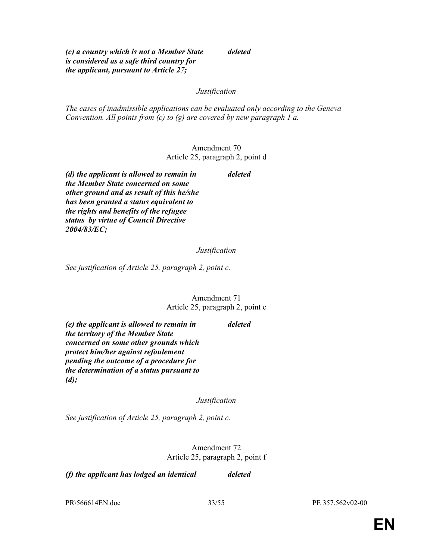*(c) a country which is not a Member State is considered as a safe third country for the applicant, pursuant to Article 27;*

*deleted* 

*deleted* 

#### *Justification*

*The cases of inadmissible applications can be evaluated only according to the Geneva Convention. All points from (c) to (g) are covered by new paragraph 1 a.* 

> Amendment 70 Article 25, paragraph 2, point d

*(d) the applicant is allowed to remain in the Member State concerned on some other ground and as result of this he/she has been granted a status equivalent to the rights and benefits of the refugee status by virtue of Council Directive 2004/83/EC;*

#### *Justification*

*See justification of Article 25, paragraph 2, point c.* 

#### Amendment 71 Article 25, paragraph 2, point e

*deleted* 

*(e) the applicant is allowed to remain in the territory of the Member State concerned on some other grounds which protect him/her against refoulement pending the outcome of a procedure for the determination of a status pursuant to (d);*

#### *Justification*

*See justification of Article 25, paragraph 2, point c.* 

Amendment 72 Article 25, paragraph 2, point f

*(f) the applicant has lodged an identical deleted*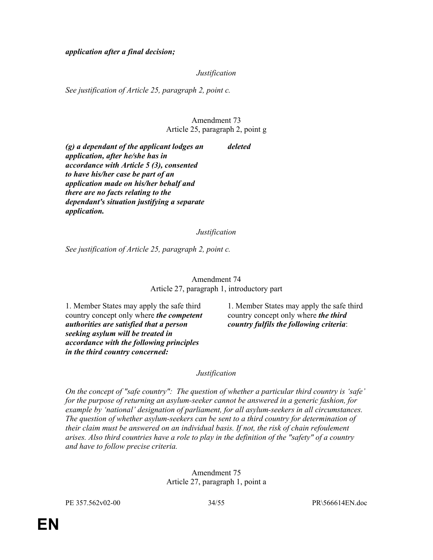#### *application after a final decision;*

#### *Justification*

*See justification of Article 25, paragraph 2, point c.* 

#### Amendment 73 Article 25, paragraph 2, point g

*(g) a dependant of the applicant lodges an application, after he/she has in accordance with Article 5 (3), consented to have his/her case be part of an application made on his/her behalf and there are no facts relating to the dependant's situation justifying a separate application. deleted* 

*Justification* 

*See justification of Article 25, paragraph 2, point c.* 

Amendment 74 Article 27, paragraph 1, introductory part

1. Member States may apply the safe third country concept only where *the competent authorities are satisfied that a person seeking asylum will be treated in accordance with the following principles in the third country concerned:*

1. Member States may apply the safe third country concept only where *the third country fulfils the following criteria*:

#### *Justification*

*On the concept of "safe country": The question of whether a particular third country is 'safe' for the purpose of returning an asylum-seeker cannot be answered in a generic fashion, for example by 'national' designation of parliament, for all asylum-seekers in all circumstances. The question of whether asylum-seekers can be sent to a third country for determination of their claim must be answered on an individual basis. If not, the risk of chain refoulement arises. Also third countries have a role to play in the definition of the "safety" of a country and have to follow precise criteria.* 

### Amendment 75 Article 27, paragraph 1, point a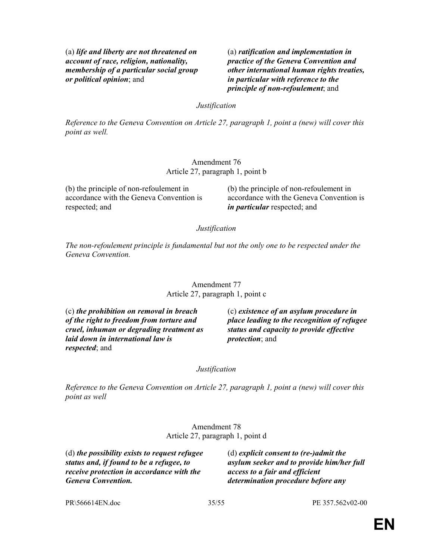(a) *life and liberty are not threatened on account of race, religion, nationality, membership of a particular social group or political opinion*; and

(a) *ratification and implementation in practice of the Geneva Convention and other international human rights treaties, in particular with reference to the principle of non-refoulement*; and

#### *Justification*

*Reference to the Geneva Convention on Article 27, paragraph 1, point a (new) will cover this point as well.* 

#### Amendment 76 Article 27, paragraph 1, point b

(b) the principle of non-refoulement in accordance with the Geneva Convention is respected; and

(b) the principle of non-refoulement in accordance with the Geneva Convention is *in particular* respected; and

*Justification* 

*The non-refoulement principle is fundamental but not the only one to be respected under the Geneva Convention.* 

> Amendment 77 Article 27, paragraph 1, point c

(c) *the prohibition on removal in breach of the right to freedom from torture and cruel, inhuman or degrading treatment as laid down in international law is respected*; and

(c) *existence of an asylum procedure in place leading to the recognition of refugee status and capacity to provide effective protection*; and

#### *Justification*

*Reference to the Geneva Convention on Article 27, paragraph 1, point a (new) will cover this point as well* 

> Amendment 78 Article 27, paragraph 1, point d

(d) *the possibility exists to request refugee status and, if found to be a refugee, to receive protection in accordance with the Geneva Convention.*

(d) *explicit consent to (re-)admit the asylum seeker and to provide him/her full access to a fair and efficient determination procedure before any* 

PR\566614EN.doc 35/55 PE 357.562v02-00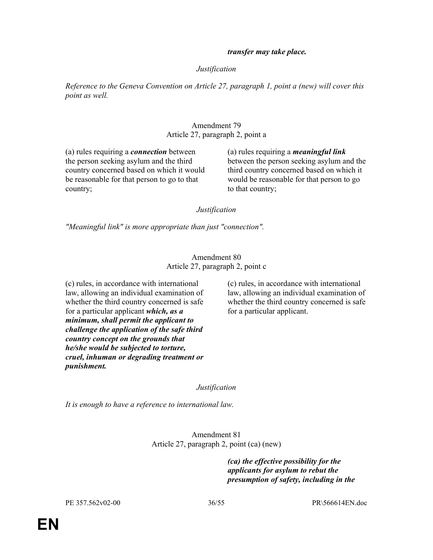#### *transfer may take place.*

#### *Justification*

*Reference to the Geneva Convention on Article 27, paragraph 1, point a (new) will cover this point as well.* 

#### Amendment 79 Article 27, paragraph 2, point a

(a) rules requiring a *connection* between the person seeking asylum and the third country concerned based on which it would be reasonable for that person to go to that country;

(a) rules requiring a *meaningful link* between the person seeking asylum and the third country concerned based on which it would be reasonable for that person to go to that country;

*Justification* 

*"Meaningful link" is more appropriate than just "connection".* 

Amendment 80 Article 27, paragraph 2, point c

(c) rules, in accordance with international law, allowing an individual examination of whether the third country concerned is safe for a particular applicant *which, as a minimum, shall permit the applicant to challenge the application of the safe third country concept on the grounds that he/she would be subjected to torture, cruel, inhuman or degrading treatment or punishment.*

(c) rules, in accordance with international law, allowing an individual examination of whether the third country concerned is safe for a particular applicant.

*Justification* 

*It is enough to have a reference to international law.* 

Amendment 81 Article 27, paragraph 2, point (ca) (new)

> *(ca) the effective possibility for the applicants for asylum to rebut the presumption of safety, including in the*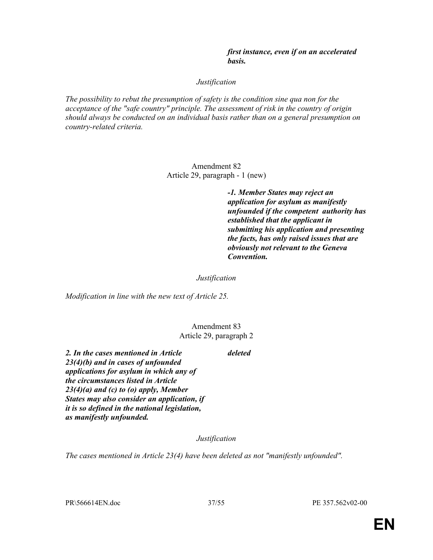#### *first instance, even if on an accelerated basis.*

*Justification* 

*The possibility to rebut the presumption of safety is the condition sine qua non for the acceptance of the "safe country" principle. The assessment of risk in the country of origin should always be conducted on an individual basis rather than on a general presumption on country-related criteria.* 

> Amendment 82 Article 29, paragraph - 1 (new)

> > *-1. Member States may reject an application for asylum as manifestly unfounded if the competent authority has established that the applicant in submitting his application and presenting the facts, has only raised issues that are obviously not relevant to the Geneva Convention.*

*Justification* 

*Modification in line with the new text of Article 25.* 

# Amendment 83 Article 29, paragraph 2

*deleted* 

*2. In the cases mentioned in Article 23(4)(b) and in cases of unfounded applications for asylum in which any of the circumstances listed in Article 23(4)(a) and (c) to (o) apply, Member States may also consider an application, if it is so defined in the national legislation, as manifestly unfounded.*

# *Justification*

*The cases mentioned in Article 23(4) have been deleted as not "manifestly unfounded".*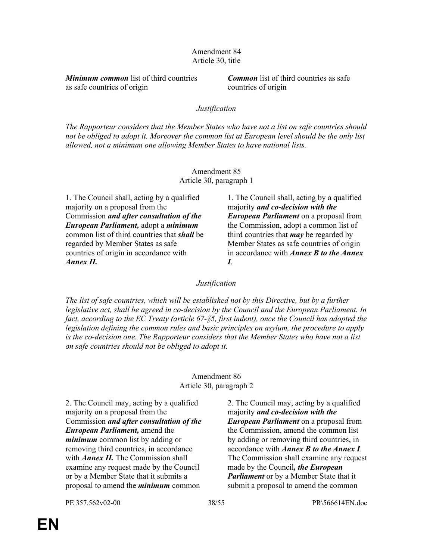### Amendment 84 Article 30, title

*Minimum common* list of third countries as safe countries of origin

*Common* list of third countries as safe countries of origin

#### *Justification*

*The Rapporteur considers that the Member States who have not a list on safe countries should not be obliged to adopt it. Moreover the common list at European level should be the only list allowed, not a minimum one allowing Member States to have national lists.* 

#### Amendment 85 Article 30, paragraph 1

1. The Council shall, acting by a qualified majority on a proposal from the Commission *and after consultation of the European Parliament,* adopt a *minimum* common list of third countries that *shall* be regarded by Member States as safe countries of origin in accordance with *Annex II.*

1. The Council shall, acting by a qualified majority *and co-decision with the European Parliament* on a proposal from the Commission, adopt a common list of third countries that *may* be regarded by Member States as safe countries of origin in accordance with *Annex B to the Annex I*.

### *Justification*

*The list of safe countries, which will be established not by this Directive, but by a further legislative act, shall be agreed in co-decision by the Council and the European Parliament. In fact, according to the EC Treaty (article 67-§5, first indent), once the Council has adopted the legislation defining the common rules and basic principles on asylum, the procedure to apply is the co-decision one. The Rapporteur considers that the Member States who have not a list on safe countries should not be obliged to adopt it.* 

#### Amendment 86 Article 30, paragraph 2

2. The Council may, acting by a qualified majority on a proposal from the Commission *and after consultation of the European Parliament,* amend the *minimum* common list by adding or removing third countries, in accordance with *Annex II*. The Commission shall examine any request made by the Council or by a Member State that it submits a proposal to amend the *minimum* common

2. The Council may, acting by a qualified majority *and co-decision with the European Parliament* on a proposal from the Commission, amend the common list by adding or removing third countries, in accordance with *Annex B to the Annex I*. The Commission shall examine any request made by the Council*, the European Parliament* or by a Member State that it submit a proposal to amend the common

PE 357.562v02-00 38/55 PR\566614EN.doc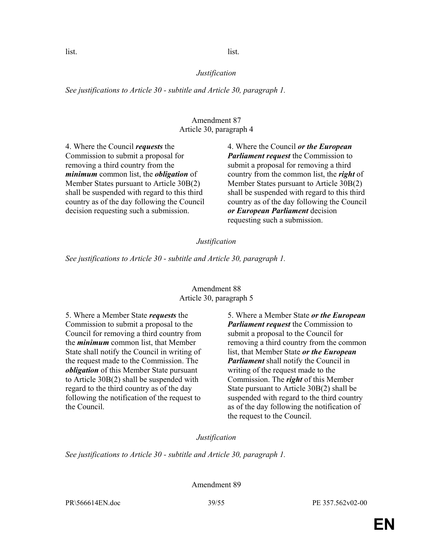list.

#### *Justification*

*See justifications to Article 30 - subtitle and Article 30, paragraph 1.* 

#### Amendment 87 Article 30, paragraph 4

4. Where the Council *requests* the Commission to submit a proposal for removing a third country from the *minimum* common list, the *obligation* of Member States pursuant to Article 30B(2) shall be suspended with regard to this third country as of the day following the Council decision requesting such a submission.

4. Where the Council *or the European Parliament request* the Commission to submit a proposal for removing a third country from the common list, the *right* of Member States pursuant to Article 30B(2) shall be suspended with regard to this third country as of the day following the Council *or European Parliament* decision requesting such a submission.

#### *Justification*

*See justifications to Article 30 - subtitle and Article 30, paragraph 1.* 

### Amendment 88 Article 30, paragraph 5

5. Where a Member State *requests* the Commission to submit a proposal to the Council for removing a third country from the *minimum* common list, that Member State shall notify the Council in writing of the request made to the Commission. The *obligation* of this Member State pursuant to Article 30B(2) shall be suspended with regard to the third country as of the day following the notification of the request to the Council.

5. Where a Member State *or the European Parliament request* the Commission to submit a proposal to the Council for removing a third country from the common list, that Member State *or the European Parliament* shall notify the Council in writing of the request made to the Commission. The *right* of this Member State pursuant to Article 30B(2) shall be suspended with regard to the third country as of the day following the notification of the request to the Council.

### *Justification*

*See justifications to Article 30 - subtitle and Article 30, paragraph 1.* 

Amendment 89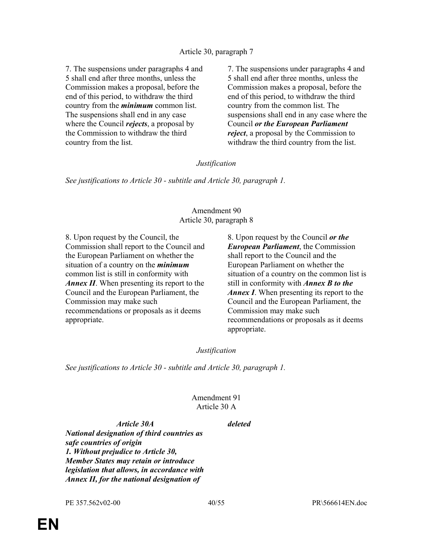7. The suspensions under paragraphs 4 and 5 shall end after three months, unless the Commission makes a proposal, before the end of this period, to withdraw the third country from the *minimum* common list. The suspensions shall end in any case where the Council *rejects*, a proposal by the Commission to withdraw the third country from the list.

7. The suspensions under paragraphs 4 and 5 shall end after three months, unless the Commission makes a proposal, before the end of this period, to withdraw the third country from the common list. The suspensions shall end in any case where the Council *or the European Parliament reject*, a proposal by the Commission to withdraw the third country from the list.

### *Justification*

*See justifications to Article 30 - subtitle and Article 30, paragraph 1.* 

#### Amendment 90 Article 30, paragraph 8

8. Upon request by the Council, the Commission shall report to the Council and the European Parliament on whether the situation of a country on the *minimum* common list is still in conformity with *Annex II*. When presenting its report to the Council and the European Parliament, the Commission may make such recommendations or proposals as it deems appropriate.

8. Upon request by the Council *or the European Parliament*, the Commission shall report to the Council and the European Parliament on whether the situation of a country on the common list is still in conformity with *Annex B to the Annex I*. When presenting its report to the Council and the European Parliament, the Commission may make such recommendations or proposals as it deems appropriate.

*Justification* 

*See justifications to Article 30 - subtitle and Article 30, paragraph 1.* 

# Amendment 91 Article 30 A

*Article 30A* 

*deleted* 

*National designation of third countries as safe countries of origin 1. Without prejudice to Article 30, Member States may retain or introduce legislation that allows, in accordance with Annex II, for the national designation of* 

PE 357.562v02-00 40/55 PR\566614EN.doc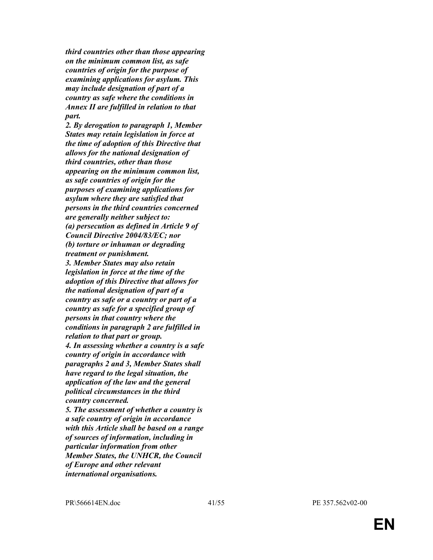*third countries other than those appearing on the minimum common list, as safe countries of origin for the purpose of examining applications for asylum. This may include designation of part of a country as safe where the conditions in Annex II are fulfilled in relation to that part.* 

*2. By derogation to paragraph 1, Member States may retain legislation in force at the time of adoption of this Directive that allows for the national designation of third countries, other than those appearing on the minimum common list, as safe countries of origin for the purposes of examining applications for asylum where they are satisfied that persons in the third countries concerned are generally neither subject to: (a) persecution as defined in Article 9 of Council Directive 2004/83/EC; nor (b) torture or inhuman or degrading treatment or punishment. 3. Member States may also retain legislation in force at the time of the adoption of this Directive that allows for the national designation of part of a country as safe or a country or part of a country as safe for a specified group of persons in that country where the conditions in paragraph 2 are fulfilled in relation to that part or group. 4. In assessing whether a country is a safe country of origin in accordance with paragraphs 2 and 3, Member States shall have regard to the legal situation, the application of the law and the general political circumstances in the third country concerned.* 

*5. The assessment of whether a country is a safe country of origin in accordance with this Article shall be based on a range of sources of information, including in particular information from other Member States, the UNHCR, the Council of Europe and other relevant international organisations.*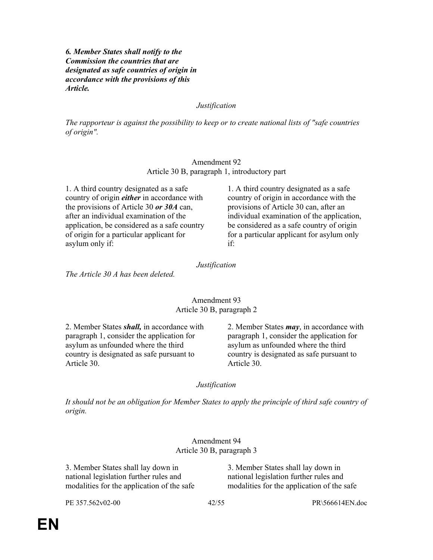*6. Member States shall notify to the Commission the countries that are designated as safe countries of origin in accordance with the provisions of this Article.* 

#### *Justification*

*The rapporteur is against the possibility to keep or to create national lists of "safe countries of origin".* 

#### Amendment 92 Article 30 B, paragraph 1, introductory part

1. A third country designated as a safe country of origin *either* in accordance with the provisions of Article 30 *or 30A* can, after an individual examination of the application, be considered as a safe country of origin for a particular applicant for asylum only if:

1. A third country designated as a safe country of origin in accordance with the provisions of Article 30 can, after an individual examination of the application, be considered as a safe country of origin for a particular applicant for asylum only if:

#### *Justification*

*The Article 30 A has been deleted.* 

#### Amendment 93 Article 30 B, paragraph 2

2. Member States *shall,* in accordance with paragraph 1, consider the application for asylum as unfounded where the third country is designated as safe pursuant to Article 30.

2. Member States *may*, in accordance with paragraph 1, consider the application for asylum as unfounded where the third country is designated as safe pursuant to Article 30.

#### *Justification*

*It should not be an obligation for Member States to apply the principle of third safe country of origin.* 

#### Amendment 94 Article 30 B, paragraph 3

3. Member States shall lay down in national legislation further rules and modalities for the application of the safe

3. Member States shall lay down in national legislation further rules and modalities for the application of the safe

PE 357.562v02-00  $42/55$  PR\566614EN.doc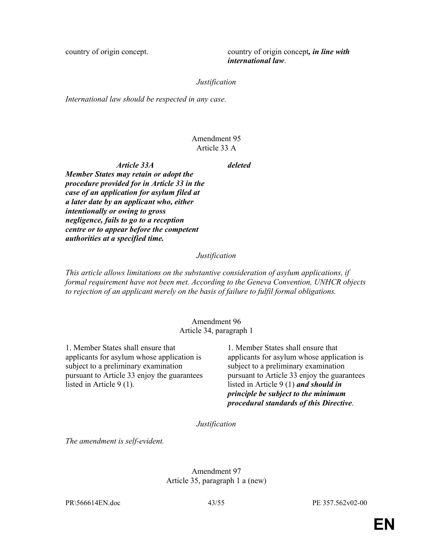country of origin concept. country of origin concept*, in line with international law*.

*Justification* 

*International law should be respected in any case.* 

# Amendment 95 Article 33 A

*Article 33A* 

*deleted* 

*Member States may retain or adopt the procedure provided for in Article 33 in the case of an application for asylum filed at a later date by an applicant who, either intentionally or owing to gross negligence, fails to go to a reception centre or to appear before the competent authorities at a specified time.* 

### *Justification*

*This article allows limitations on the substantive consideration of asylum applications, if formal requirement have not been met. According to the Geneva Convention, UNHCR objects to rejection of an applicant merely on the basis of failure to fulfil formal obligations.* 

#### Amendment 96 Article 34, paragraph 1

1. Member States shall ensure that applicants for asylum whose application is subject to a preliminary examination pursuant to Article 33 enjoy the guarantees listed in Article 9 (1).

1. Member States shall ensure that applicants for asylum whose application is subject to a preliminary examination pursuant to Article 33 enjoy the guarantees listed in Article 9 (1) *and should in principle be subject to the minimum procedural standards of this Directive*.

*Justification* 

*The amendment is self-evident.* 

#### Amendment 97 Article 35, paragraph 1 a (new)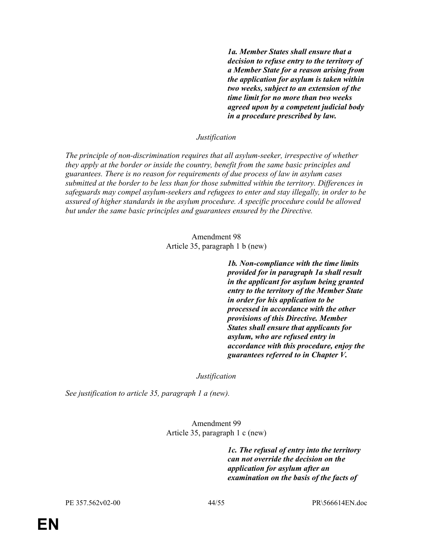*1a. Member States shall ensure that a decision to refuse entry to the territory of a Member State for a reason arising from the application for asylum is taken within two weeks, subject to an extension of the time limit for no more than two weeks agreed upon by a competent judicial body in a procedure prescribed by law.*

*Justification* 

*The principle of non-discrimination requires that all asylum-seeker, irrespective of whether they apply at the border or inside the country, benefit from the same basic principles and guarantees. There is no reason for requirements of due process of law in asylum cases submitted at the border to be less than for those submitted within the territory. Differences in safeguards may compel asylum-seekers and refugees to enter and stay illegally, in order to be assured of higher standards in the asylum procedure. A specific procedure could be allowed but under the same basic principles and guarantees ensured by the Directive.* 

> Amendment 98 Article 35, paragraph 1 b (new)

> > *1b. Non-compliance with the time limits provided for in paragraph 1a shall result in the applicant for asylum being granted entry to the territory of the Member State in order for his application to be processed in accordance with the other provisions of this Directive. Member States shall ensure that applicants for asylum, who are refused entry in accordance with this procedure, enjoy the guarantees referred to in Chapter V.*

*Justification* 

*See justification to article 35, paragraph 1 a (new).* 

Amendment 99 Article 35, paragraph 1 c (new)

> *1c. The refusal of entry into the territory can not override the decision on the application for asylum after an examination on the basis of the facts of*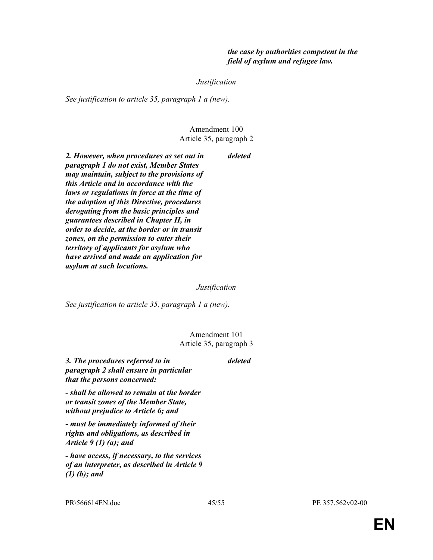#### *the case by authorities competent in the field of asylum and refugee law.*

#### *Justification*

*See justification to article 35, paragraph 1 a (new).* 

# Amendment 100 Article 35, paragraph 2

*deleted* 

*2. However, when procedures as set out in paragraph 1 do not exist, Member States may maintain, subject to the provisions of this Article and in accordance with the laws or regulations in force at the time of the adoption of this Directive, procedures derogating from the basic principles and guarantees described in Chapter II, in order to decide, at the border or in transit zones, on the permission to enter their territory of applicants for asylum who have arrived and made an application for asylum at such locations.*

#### *Justification*

*See justification to article 35, paragraph 1 a (new).* 

#### Amendment 101 Article 35, paragraph 3

#### *deleted*

*3. The procedures referred to in paragraph 2 shall ensure in particular that the persons concerned:*

*- shall be allowed to remain at the border or transit zones of the Member State, without prejudice to Article 6; and* 

*- must be immediately informed of their rights and obligations, as described in Article 9 (1) (a); and* 

*- have access, if necessary, to the services of an interpreter, as described in Article 9 (1) (b); and*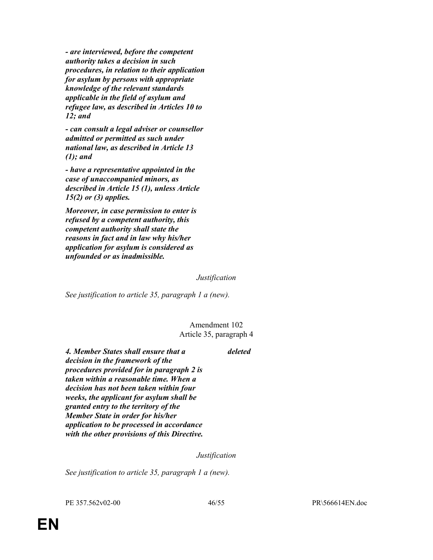*- are interviewed, before the competent authority takes a decision in such procedures, in relation to their application for asylum by persons with appropriate knowledge of the relevant standards applicable in the field of asylum and refugee law, as described in Articles 10 to 12; and* 

*- can consult a legal adviser or counsellor admitted or permitted as such under national law, as described in Article 13 (1); and* 

*- have a representative appointed in the case of unaccompanied minors, as described in Article 15 (1), unless Article 15(2) or (3) applies.* 

*Moreover, in case permission to enter is refused by a competent authority, this competent authority shall state the reasons in fact and in law why his/her application for asylum is considered as unfounded or as inadmissible.* 

*Justification* 

*See justification to article 35, paragraph 1 a (new).* 

# Amendment 102 Article 35, paragraph 4

*deleted* 

*4. Member States shall ensure that a decision in the framework of the procedures provided for in paragraph 2 is taken within a reasonable time. When a decision has not been taken within four weeks, the applicant for asylum shall be granted entry to the territory of the Member State in order for his/her application to be processed in accordance with the other provisions of this Directive.* 

### *Justification*

*See justification to article 35, paragraph 1 a (new).* 

PE 357.562v02-00 46/55 PR\566614EN.doc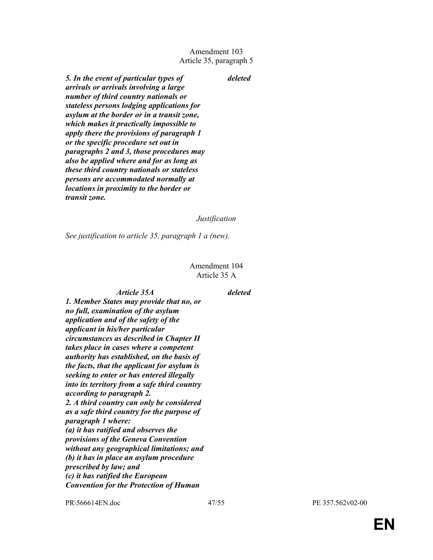### Amendment 103 Article 35, paragraph 5

#### *deleted*

*5. In the event of particular types of arrivals or arrivals involving a large number of third country nationals or stateless persons lodging applications for asylum at the border or in a transit zone, which makes it practically impossible to apply there the provisions of paragraph 1 or the specific procedure set out in paragraphs 2 and 3, those procedures may also be applied where and for as long as these third country nationals or stateless persons are accommodated normally at locations in proximity to the border or transit zone.*

*Justification* 

*See justification to article 35, paragraph 1 a (new).* 

#### Amendment 104 Article 35 A

#### *deleted*

*Article 35A 1. Member States may provide that no, or no full, examination of the asylum application and of the safety of the applicant in his/her particular circumstances as described in Chapter II takes place in cases where a competent authority has established, on the basis of the facts, that the applicant for asylum is seeking to enter or has entered illegally into its territory from a safe third country according to paragraph 2. 2. A third country can only be considered as a safe third country for the purpose of paragraph 1 where: (a) it has ratified and observes the provisions of the Geneva Convention without any geographical limitations; and (b) it has in place an asylum procedure prescribed by law; and (c) it has ratified the European Convention for the Protection of Human*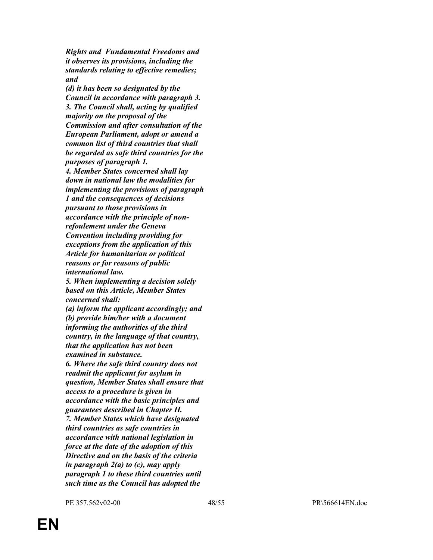*Rights and Fundamental Freedoms and it observes its provisions, including the standards relating to effective remedies; and* 

*(d) it has been so designated by the Council in accordance with paragraph 3. 3. The Council shall, acting by qualified majority on the proposal of the Commission and after consultation of the European Parliament, adopt or amend a common list of third countries that shall be regarded as safe third countries for the purposes of paragraph 1.* 

*4. Member States concerned shall lay down in national law the modalities for implementing the provisions of paragraph 1 and the consequences of decisions pursuant to those provisions in accordance with the principle of nonrefoulement under the Geneva Convention including providing for exceptions from the application of this Article for humanitarian or political reasons or for reasons of public international law.* 

*5. When implementing a decision solely based on this Article, Member States concerned shall:* 

*(a) inform the applicant accordingly; and (b) provide him/her with a document informing the authorities of the third country, in the language of that country, that the application has not been examined in substance.* 

*6. Where the safe third country does not readmit the applicant for asylum in question, Member States shall ensure that access to a procedure is given in accordance with the basic principles and guarantees described in Chapter II. 7. Member States which have designated third countries as safe countries in accordance with national legislation in force at the date of the adoption of this Directive and on the basis of the criteria in paragraph 2(a) to (c), may apply paragraph 1 to these third countries until such time as the Council has adopted the*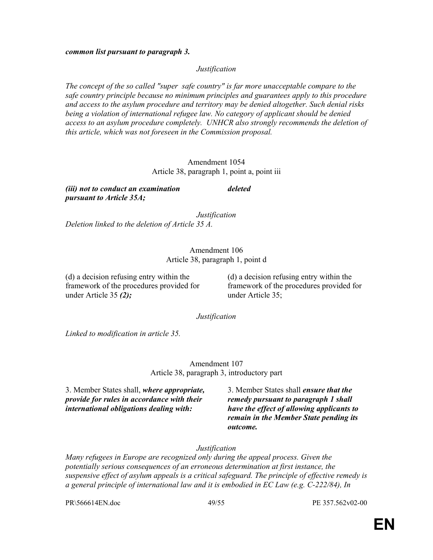*common list pursuant to paragraph 3.* 

*Justification* 

*The concept of the so called "super safe country" is far more unacceptable compare to the safe country principle because no minimum principles and guarantees apply to this procedure and access to the asylum procedure and territory may be denied altogether. Such denial risks being a violation of international refugee law. No category of applicant should be denied access to an asylum procedure completely. UNHCR also strongly recommends the deletion of this article, which was not foreseen in the Commission proposal.* 

> Amendment 1054 Article 38, paragraph 1, point a, point iii

> > *deleted*

*(iii) not to conduct an examination pursuant to Article 35A;* 

*Justification* 

*Deletion linked to the deletion of Article 35 A.* 

#### Amendment 106 Article 38, paragraph 1, point d

(d) a decision refusing entry within the framework of the procedures provided for under Article 35 *(2);*

(d) a decision refusing entry within the framework of the procedures provided for under Article 35;

*Justification* 

*Linked to modification in article 35.* 

Amendment 107 Article 38, paragraph 3, introductory part

3. Member States shall, *where appropriate, provide for rules in accordance with their international obligations dealing with:*

3. Member States shall *ensure that the remedy pursuant to paragraph 1 shall have the effect of allowing applicants to remain in the Member State pending its outcome.*

*Justification* 

*Many refugees in Europe are recognized only during the appeal process. Given the potentially serious consequences of an erroneous determination at first instance, the suspensive effect of asylum appeals is a critical safeguard. The principle of effective remedy is a general principle of international law and it is embodied in EC Law (e.g. C-222/84), In* 

PR\566614EN.doc 49/55 PE 357.562v02-00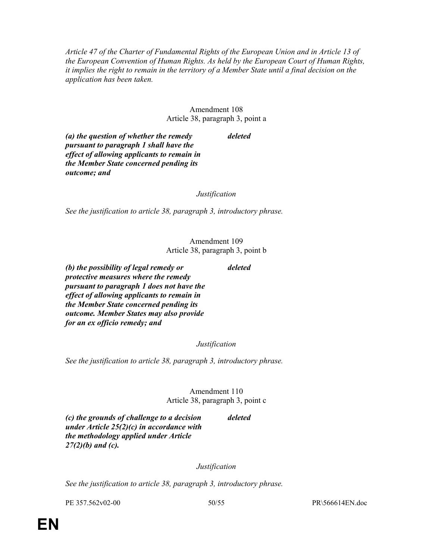*Article 47 of the Charter of Fundamental Rights of the European Union and in Article 13 of the European Convention of Human Rights. As held by the European Court of Human Rights, it implies the right to remain in the territory of a Member State until a final decision on the application has been taken.*

#### Amendment 108 Article 38, paragraph 3, point a

*deleted* 

*deleted* 

*(a) the question of whether the remedy pursuant to paragraph 1 shall have the effect of allowing applicants to remain in the Member State concerned pending its outcome; and*

#### *Justification*

*See the justification to article 38, paragraph 3, introductory phrase.* 

#### Amendment 109 Article 38, paragraph 3, point b

*(b) the possibility of legal remedy or protective measures where the remedy pursuant to paragraph 1 does not have the effect of allowing applicants to remain in the Member State concerned pending its outcome. Member States may also provide for an ex officio remedy; and*

### *Justification*

*See the justification to article 38, paragraph 3, introductory phrase.* 

#### Amendment 110 Article 38, paragraph 3, point c

*deleted* 

*(c) the grounds of challenge to a decision under Article 25(2)(c) in accordance with the methodology applied under Article 27(2)(b) and (c).* 

*Justification* 

*See the justification to article 38, paragraph 3, introductory phrase.* 

PE 357.562v02-00 50/55 PR\566614EN.doc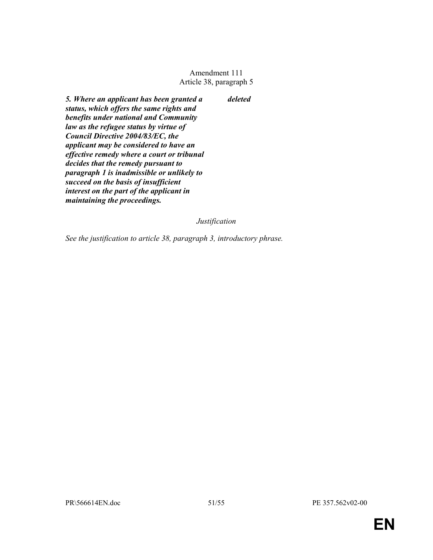# Amendment 111 Article 38, paragraph 5

*deleted* 

*5. Where an applicant has been granted a status, which offers the same rights and benefits under national and Community law as the refugee status by virtue of Council Directive 2004/83/EC, the applicant may be considered to have an effective remedy where a court or tribunal decides that the remedy pursuant to paragraph 1 is inadmissible or unlikely to succeed on the basis of insufficient interest on the part of the applicant in maintaining the proceedings.*

*Justification* 

*See the justification to article 38, paragraph 3, introductory phrase.*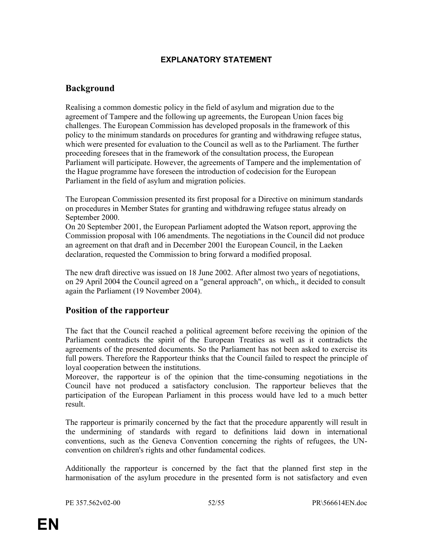# **EXPLANATORY STATEMENT**

# **Background**

Realising a common domestic policy in the field of asylum and migration due to the agreement of Tampere and the following up agreements, the European Union faces big challenges. The European Commission has developed proposals in the framework of this policy to the minimum standards on procedures for granting and withdrawing refugee status, which were presented for evaluation to the Council as well as to the Parliament. The further proceeding foresees that in the framework of the consultation process, the European Parliament will participate. However, the agreements of Tampere and the implementation of the Hague programme have foreseen the introduction of codecision for the European Parliament in the field of asylum and migration policies.

The European Commission presented its first proposal for a Directive on minimum standards on procedures in Member States for granting and withdrawing refugee status already on September 2000.

On 20 September 2001, the European Parliament adopted the Watson report, approving the Commission proposal with 106 amendments. The negotiations in the Council did not produce an agreement on that draft and in December 2001 the European Council, in the Laeken declaration, requested the Commission to bring forward a modified proposal.

The new draft directive was issued on 18 June 2002. After almost two years of negotiations, on 29 April 2004 the Council agreed on a "general approach", on which,, it decided to consult again the Parliament (19 November 2004).

# **Position of the rapporteur**

The fact that the Council reached a political agreement before receiving the opinion of the Parliament contradicts the spirit of the European Treaties as well as it contradicts the agreements of the presented documents. So the Parliament has not been asked to exercise its full powers. Therefore the Rapporteur thinks that the Council failed to respect the principle of loyal cooperation between the institutions.

Moreover, the rapporteur is of the opinion that the time-consuming negotiations in the Council have not produced a satisfactory conclusion. The rapporteur believes that the participation of the European Parliament in this process would have led to a much better result.

The rapporteur is primarily concerned by the fact that the procedure apparently will result in the undermining of standards with regard to definitions laid down in international conventions, such as the Geneva Convention concerning the rights of refugees, the UNconvention on children's rights and other fundamental codices.

Additionally the rapporteur is concerned by the fact that the planned first step in the harmonisation of the asylum procedure in the presented form is not satisfactory and even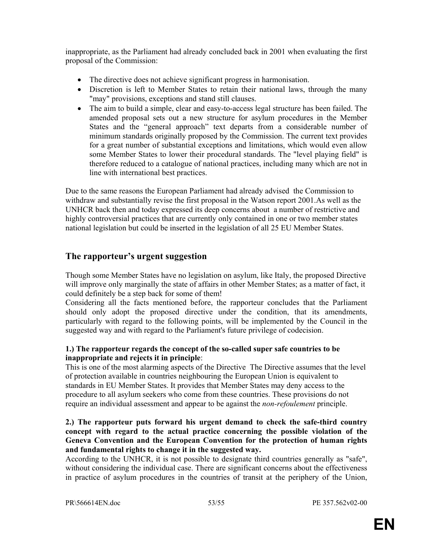inappropriate, as the Parliament had already concluded back in 2001 when evaluating the first proposal of the Commission:

- The directive does not achieve significant progress in harmonisation.
- Discretion is left to Member States to retain their national laws, through the many "may" provisions, exceptions and stand still clauses.
- The aim to build a simple, clear and easy-to-access legal structure has been failed. The amended proposal sets out a new structure for asylum procedures in the Member States and the "general approach" text departs from a considerable number of minimum standards originally proposed by the Commission. The current text provides for a great number of substantial exceptions and limitations, which would even allow some Member States to lower their procedural standards. The "level playing field" is therefore reduced to a catalogue of national practices, including many which are not in line with international best practices.

Due to the same reasons the European Parliament had already advised the Commission to withdraw and substantially revise the first proposal in the Watson report 2001.As well as the UNHCR back then and today expressed its deep concerns about a number of restrictive and highly controversial practices that are currently only contained in one or two member states national legislation but could be inserted in the legislation of all 25 EU Member States.

# **The rapporteur's urgent suggestion**

Though some Member States have no legislation on asylum, like Italy, the proposed Directive will improve only marginally the state of affairs in other Member States; as a matter of fact, it could definitely be a step back for some of them!

Considering all the facts mentioned before, the rapporteur concludes that the Parliament should only adopt the proposed directive under the condition, that its amendments, particularly with regard to the following points, will be implemented by the Council in the suggested way and with regard to the Parliament's future privilege of codecision.

### **1.) The rapporteur regards the concept of the so-called super safe countries to be inappropriate and rejects it in principle**:

This is one of the most alarming aspects of the Directive The Directive assumes that the level of protection available in countries neighbouring the European Union is equivalent to standards in EU Member States. It provides that Member States may deny access to the procedure to all asylum seekers who come from these countries. These provisions do not require an individual assessment and appear to be against the *non-refoulement* principle.

#### **2.) The rapporteur puts forward his urgent demand to check the safe-third country concept with regard to the actual practice concerning the possible violation of the Geneva Convention and the European Convention for the protection of human rights and fundamental rights to change it in the suggested way.**

According to the UNHCR, it is not possible to designate third countries generally as "safe", without considering the individual case. There are significant concerns about the effectiveness in practice of asylum procedures in the countries of transit at the periphery of the Union,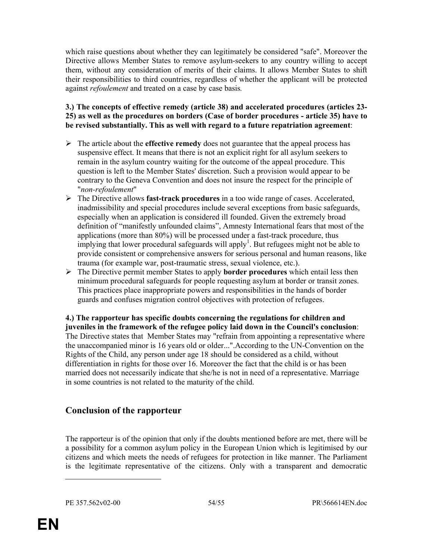which raise questions about whether they can legitimately be considered "safe". Moreover the Directive allows Member States to remove asylum-seekers to any country willing to accept them, without any consideration of merits of their claims. It allows Member States to shift their responsibilities to third countries, regardless of whether the applicant will be protected against *refoulement* and treated on a case by case basis*.* 

# **3.) The concepts of effective remedy (article 38) and accelerated procedures (articles 23- 25) as well as the procedures on borders (Case of border procedures - article 35) have to be revised substantially. This as well with regard to a future repatriation agreement**:

- ¾ The article about the **effective remedy** does not guarantee that the appeal process has suspensive effect. It means that there is not an explicit right for all asylum seekers to remain in the asylum country waiting for the outcome of the appeal procedure. This question is left to the Member States' discretion. Such a provision would appear to be contrary to the Geneva Convention and does not insure the respect for the principle of "*non-refoulement*"
- ¾ The Directive allows **fast-track procedures** in a too wide range of cases. Accelerated, inadmissibility and special procedures include several exceptions from basic safeguards, especially when an application is considered ill founded. Given the extremely broad definition of "manifestly unfounded claims", Amnesty International fears that most of the applications (more than 80%) will be processed under a fast-track procedure, thus implying that lower procedural safeguards will apply<sup>1</sup>. But refugees might not be able to provide consistent or comprehensive answers for serious personal and human reasons, like trauma (for example war, post-traumatic stress, sexual violence, etc.).
- ¾ The Directive permit member States to apply **border procedures** which entail less then minimum procedural safeguards for people requesting asylum at border or transit zones. This practices place inappropriate powers and responsibilities in the hands of border guards and confuses migration control objectives with protection of refugees.

**4.) The rapporteur has specific doubts concerning the regulations for children and juveniles in the framework of the refugee policy laid down in the Council's conclusion**: The Directive states that Member States may "refrain from appointing a representative where the unaccompanied minor is 16 years old or older...".According to the UN-Convention on the Rights of the Child, any person under age 18 should be considered as a child, without differentiation in rights for those over 16. Moreover the fact that the child is or has been married does not necessarily indicate that she/he is not in need of a representative. Marriage in some countries is not related to the maturity of the child.

# **Conclusion of the rapporteur**

The rapporteur is of the opinion that only if the doubts mentioned before are met, there will be a possibility for a common asylum policy in the European Union which is legitimised by our citizens and which meets the needs of refugees for protection in like manner. The Parliament is the legitimate representative of the citizens. Only with a transparent and democratic

 $\overline{a}$